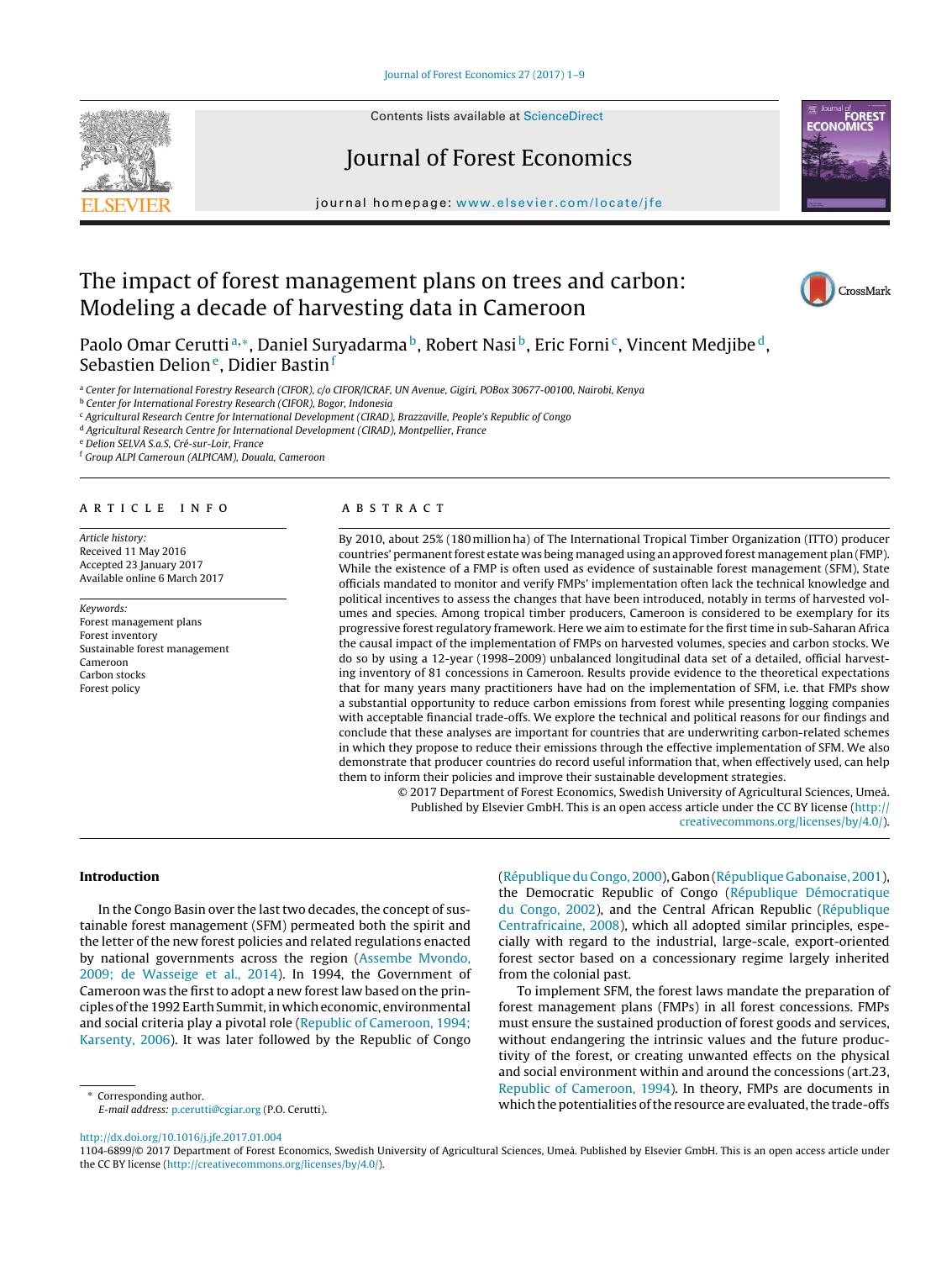Contents lists available at [ScienceDirect](http://www.sciencedirect.com/science/journal/11046899)

# Journal of Forest Economics

iournal homepage: www.elsevier.com/locate/ife





Paolo Omar Cerutti<sup>a,∗</sup>, Daniel Suryadarma<sup>b</sup>, Robert Nasi<sup>b</sup>, Eric Forni<sup>c</sup>, Vincent Medjibe<sup>d</sup>, Sebastien Delion<sup>e</sup>, Didier Bastin<sup>f</sup>

<sup>a</sup> Center for International Forestry Research (CIFOR), c/o CIFOR/ICRAF, UN Avenue, Gigiri, POBox 30677-00100, Nairobi, Kenya

**b** Center for International Forestry Research (CIFOR), Bogor, Indonesia

<sup>c</sup> Agricultural Research Centre for International Development (CIRAD), Brazzaville, People's Republic of Congo

<sup>d</sup> Agricultural Research Centre for International Development (CIRAD), Montpellier, France

<sup>e</sup> Delion SELVA S.a.S, Cré-sur-Loir, France

<sup>f</sup> Group ALPI Cameroun (ALPICAM), Douala, Cameroon

#### a r t i c l e i n f o

Article history: Received 11 May 2016 Accepted 23 January 2017 Available online 6 March 2017

Keywords: Forest management plans Forest inventory Sustainable forest management Cameroon Carbon stocks Forest policy

## a b s t r a c t

By 2010, about 25% (180 million ha) of The International Tropical Timber Organization (ITTO) producer countries' permanent forest estate was being managed using an approved forest management plan (FMP). While the existence of a FMP is often used as evidence of sustainable forest management (SFM), State officials mandated to monitor and verify FMPs' implementation often lack the technical knowledge and political incentives to assess the changes that have been introduced, notably in terms of harvested volumes and species. Among tropical timber producers, Cameroon is considered to be exemplary for its progressive forest regulatory framework. Here we aim to estimate for the first time in sub-Saharan Africa the causal impact of the implementation of FMPs on harvested volumes, species and carbon stocks. We do so by using a 12-year (1998–2009) unbalanced longitudinal data set of a detailed, official harvesting inventory of 81 concessions in Cameroon. Results provide evidence to the theoretical expectations that for many years many practitioners have had on the implementation of SFM, i.e. that FMPs show a substantial opportunity to reduce carbon emissions from forest while presenting logging companies with acceptable financial trade-offs. We explore the technical and political reasons for our findings and conclude that these analyses are important for countries that are underwriting carbon-related schemes in which they propose to reduce their emissions through the effective implementation of SFM. We also demonstrate that producer countries do record useful information that, when effectively used, can help them to inform their policies and improve their sustainable development strategies.

> © 2017 Department of Forest Economics, Swedish University of Agricultural Sciences, Umea.˚ Published by Elsevier GmbH. This is an open access article under the CC BY license [\(http://](http://creativecommons.org/licenses/by/4.0/) [creativecommons.org/licenses/by/4.0/](http://creativecommons.org/licenses/by/4.0/)).

## **Introduction**

In the Congo Basin over the last two decades, the concept of sustainable forest management (SFM) permeated both the spirit and the letter of the new forest policies and related regulations enacted by national governments across the region ([Assembe](#page-7-0) [Mvondo,](#page-7-0) [2009;](#page-7-0) [de](#page-7-0) [Wasseige](#page-7-0) et [al.,](#page-7-0) [2014\).](#page-7-0) In 1994, the Government of Cameroon was the first to adopt a new forest law based on the principles ofthe 1992 Earth Summit, in which economic, environmental and social criteria play a pivotal role ([Republic](#page-7-0) [of](#page-7-0) [Cameroon,](#page-7-0) [1994;](#page-7-0) [Karsenty,](#page-7-0) [2006\).](#page-7-0) It was later followed by the Republic of Congo

∗ Corresponding author. E-mail address: [p.cerutti@cgiar.org](mailto:p.cerutti@cgiar.org) (P.O. Cerutti). [\(RépubliqueduCongo,](#page-8-0) [2000\),](#page-8-0) Gabon[\(République](#page-8-0) [Gabonaise,](#page-8-0) [2001\),](#page-8-0) the Democratic Republic of Congo [\(République](#page-8-0) [Démocratique](#page-8-0) [du](#page-8-0) [Congo,](#page-8-0) [2002\),](#page-8-0) and the Central African Republic [\(République](#page-8-0) [Centrafricaine,](#page-8-0) [2008\),](#page-8-0) which all adopted similar principles, especially with regard to the industrial, large-scale, export-oriented forest sector based on a concessionary regime largely inherited from the colonial past.

To implement SFM, the forest laws mandate the preparation of forest management plans (FMPs) in all forest concessions. FMPs must ensure the sustained production of forest goods and services, without endangering the intrinsic values and the future productivity of the forest, or creating unwanted effects on the physical and social environment within and around the concessions (art.23, [Republic](#page-7-0) [of](#page-7-0) [Cameroon,](#page-7-0) [1994\).](#page-7-0) In theory, FMPs are documents in which the potentialities of the resource are evaluated, the trade-offs

[http://dx.doi.org/10.1016/j.jfe.2017.01.004](dx.doi.org/10.1016/j.jfe.2017.01.004)

1104-6899/© 2017 Department of Forest Economics, Swedish University of Agricultural Sciences, Umeå. Published by Elsevier GmbH. This is an open access article under the CC BY license ([http://creativecommons.org/licenses/by/4.0/\)](http://creativecommons.org/licenses/by/4.0/).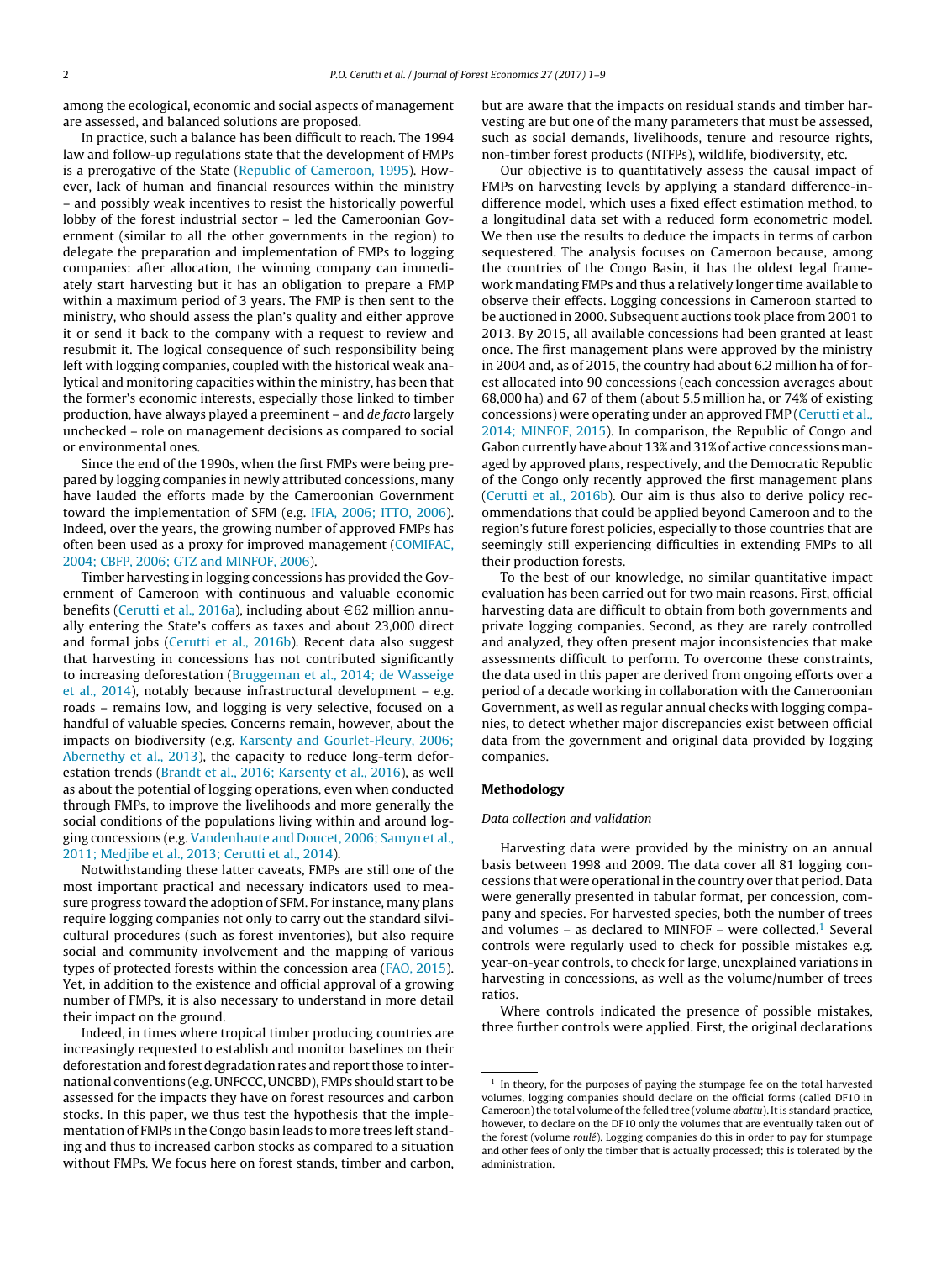among the ecological, economic and social aspects of management are assessed, and balanced solutions are proposed.

In practice, such a balance has been difficult to reach. The 1994 law and follow-up regulations state that the development of FMPs is a prerogative of the State [\(Republic](#page-7-0) [of](#page-7-0) [Cameroon,](#page-7-0) [1995\).](#page-7-0) However, lack of human and financial resources within the ministry – and possibly weak incentives to resist the historically powerful lobby of the forest industrial sector – led the Cameroonian Government (similar to all the other governments in the region) to delegate the preparation and implementation of FMPs to logging companies: after allocation, the winning company can immediately start harvesting but it has an obligation to prepare a FMP within a maximum period of 3 years. The FMP is then sent to the ministry, who should assess the plan's quality and either approve it or send it back to the company with a request to review and resubmit it. The logical consequence of such responsibility being left with logging companies, coupled with the historical weak analytical and monitoring capacities within the ministry, has been that the former's economic interests, especially those linked to timber production, have always played a preeminent – and de facto largely unchecked – role on management decisions as compared to social or environmental ones.

Since the end of the 1990s, when the first FMPs were being prepared by logging companies in newly attributed concessions, many have lauded the efforts made by the Cameroonian Government toward the implementation of SFM (e.g. [IFIA,](#page-7-0) [2006;](#page-7-0) [ITTO,](#page-7-0) [2006\).](#page-7-0) Indeed, over the years, the growing number of approved FMPs has often been used as a proxy for improved management ([COMIFAC,](#page-7-0) [2004;](#page-7-0) [CBFP,](#page-7-0) [2006;](#page-7-0) [GTZ](#page-7-0) [and](#page-7-0) [MINFOF,](#page-7-0) [2006\).](#page-7-0)

Timber harvesting in logging concessions has provided the Government of Cameroon with continuous and valuable economic benefits ([Cerutti](#page-7-0) et [al.,](#page-7-0) [2016a\),](#page-7-0) including about  $\in$  62 million annually entering the State's coffers as taxes and about 23,000 direct and formal jobs [\(Cerutti](#page-7-0) et [al.,](#page-7-0) [2016b\).](#page-7-0) Recent data also suggest that harvesting in concessions has not contributed significantly to increasing deforestation ([Bruggeman](#page-7-0) et [al.,](#page-7-0) [2014;](#page-7-0) [de](#page-7-0) [Wasseige](#page-7-0) et [al.,](#page-7-0) [2014\),](#page-7-0) notably because infrastructural development – e.g. roads – remains low, and logging is very selective, focused on a handful of valuable species. Concerns remain, however, about the impacts on biodiversity (e.g. [Karsenty](#page-7-0) [and](#page-7-0) [Gourlet-Fleury,](#page-7-0) [2006;](#page-7-0) [Abernethy](#page-7-0) et [al.,](#page-7-0) [2013\),](#page-7-0) the capacity to reduce long-term deforestation trends [\(Brandt](#page-7-0) et [al.,](#page-7-0) [2016;](#page-7-0) [Karsenty](#page-7-0) et [al.,](#page-7-0) [2016\),](#page-7-0) as well as about the potential of logging operations, even when conducted through FMPs, to improve the livelihoods and more generally the social conditions of the populations living within and around logging concessions (e.g. [Vandenhaute](#page-8-0) [and](#page-8-0) [Doucet,](#page-8-0) [2006;](#page-8-0) [Samyn](#page-8-0) et [al.,](#page-8-0) [2011;](#page-8-0) [Medjibe](#page-8-0) et [al.,](#page-8-0) [2013;](#page-8-0) [Cerutti](#page-8-0) et [al.,](#page-8-0) [2014\).](#page-8-0)

Notwithstanding these latter caveats, FMPs are still one of the most important practical and necessary indicators used to measure progress toward the adoption of SFM. For instance, many plans require logging companies not only to carry out the standard silvicultural procedures (such as forest inventories), but also require social and community involvement and the mapping of various types of protected forests within the concession area [\(FAO,](#page-7-0) [2015\).](#page-7-0) Yet, in addition to the existence and official approval of a growing number of FMPs, it is also necessary to understand in more detail their impact on the ground.

Indeed, in times where tropical timber producing countries are increasingly requested to establish and monitor baselines on their deforestation and forest degradation rates and report those to international conventions (e.g. UNFCCC, UNCBD), FMPs should start to be assessed for the impacts they have on forest resources and carbon stocks. In this paper, we thus test the hypothesis that the implementation of FMPs in the Congo basin leads to more trees left standing and thus to increased carbon stocks as compared to a situation without FMPs. We focus here on forest stands, timber and carbon,

but are aware that the impacts on residual stands and timber harvesting are but one of the many parameters that must be assessed, such as social demands, livelihoods, tenure and resource rights, non-timber forest products (NTFPs), wildlife, biodiversity, etc.

Our objective is to quantitatively assess the causal impact of FMPs on harvesting levels by applying a standard difference-indifference model, which uses a fixed effect estimation method, to a longitudinal data set with a reduced form econometric model. We then use the results to deduce the impacts in terms of carbon sequestered. The analysis focuses on Cameroon because, among the countries of the Congo Basin, it has the oldest legal framework mandating FMPs and thus a relatively longer time available to observe their effects. Logging concessions in Cameroon started to be auctioned in 2000. Subsequent auctions took place from 2001 to 2013. By 2015, all available concessions had been granted at least once. The first management plans were approved by the ministry in 2004 and, as of 2015, the country had about 6.2 million ha of forest allocated into 90 concessions (each concession averages about 68,000 ha) and 67 of them (about 5.5 million ha, or 74% of existing concessions) were operating under an approved FMP [\(Cerutti](#page-7-0) et [al.,](#page-7-0) [2014;](#page-7-0) [MINFOF,](#page-7-0) [2015\).](#page-7-0) In comparison, the Republic of Congo and Gabon currently have about 13% and 31% of active concessions managed by approved plans, respectively, and the Democratic Republic of the Congo only recently approved the first management plans [\(Cerutti](#page-7-0) et [al.,](#page-7-0) [2016b\).](#page-7-0) Our aim is thus also to derive policy recommendations that could be applied beyond Cameroon and to the region's future forest policies, especially to those countries that are seemingly still experiencing difficulties in extending FMPs to all their production forests.

To the best of our knowledge, no similar quantitative impact evaluation has been carried out for two main reasons. First, official harvesting data are difficult to obtain from both governments and private logging companies. Second, as they are rarely controlled and analyzed, they often present major inconsistencies that make assessments difficult to perform. To overcome these constraints, the data used in this paper are derived from ongoing efforts over a period of a decade working in collaboration with the Cameroonian Government, as well as regular annual checks with logging companies, to detect whether major discrepancies exist between official data from the government and original data provided by logging companies.

# **Methodology**

#### Data collection and validation

Harvesting data were provided by the ministry on an annual basis between 1998 and 2009. The data cover all 81 logging concessions that were operational in the country over that period. Data were generally presented in tabular format, per concession, company and species. For harvested species, both the number of trees and volumes – as declared to MINFOF – were collected.<sup>1</sup> Several controls were regularly used to check for possible mistakes e.g. year-on-year controls, to check for large, unexplained variations in harvesting in concessions, as well as the volume/number of trees ratios.

Where controls indicated the presence of possible mistakes, three further controls were applied. First, the original declarations

 $1$  In theory, for the purposes of paying the stumpage fee on the total harvested volumes, logging companies should declare on the official forms (called DF10 in Cameroon) the total volume of the felled tree (volume *abattu*). It is standard practice, however, to declare on the DF10 only the volumes that are eventually taken out of the forest (volume roulé). Logging companies do this in order to pay for stumpage and other fees of only the timber that is actually processed; this is tolerated by the administration.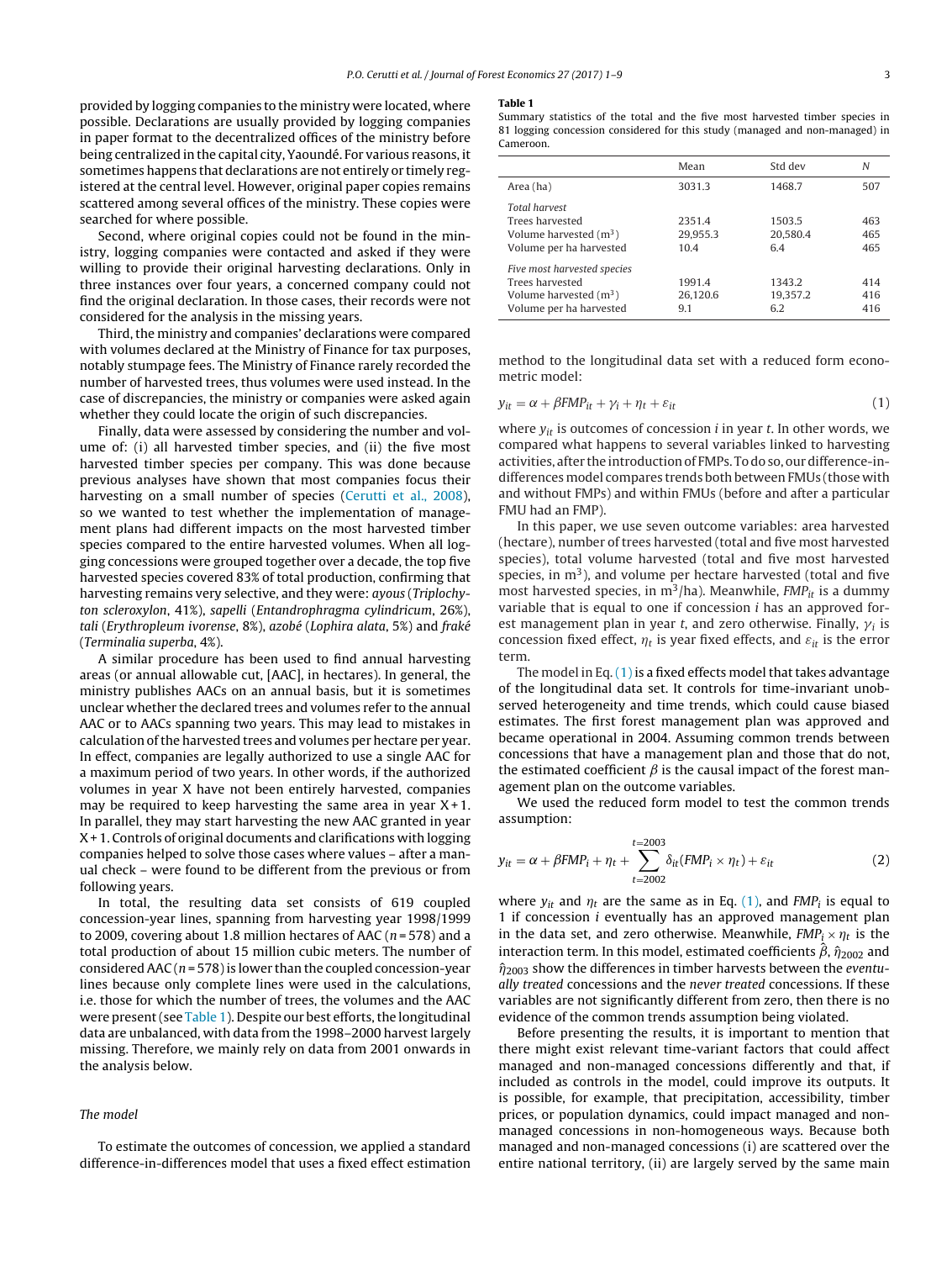<span id="page-2-0"></span>provided by logging companies to the ministry were located, where possible. Declarations are usually provided by logging companies in paper format to the decentralized offices of the ministry before being centralized in the capital city, Yaoundé. For various reasons, it sometimes happens that declarations are not entirely or timely registered at the central level. However, original paper copies remains scattered among several offices of the ministry. These copies were searched for where possible.

Second, where original copies could not be found in the ministry, logging companies were contacted and asked if they were willing to provide their original harvesting declarations. Only in three instances over four years, a concerned company could not find the original declaration. In those cases, their records were not considered for the analysis in the missing years.

Third, the ministry and companies' declarations were compared with volumes declared at the Ministry of Finance for tax purposes, notably stumpage fees. The Ministry of Finance rarely recorded the number of harvested trees, thus volumes were used instead. In the case of discrepancies, the ministry or companies were asked again whether they could locate the origin of such discrepancies.

Finally, data were assessed by considering the number and volume of: (i) all harvested timber species, and (ii) the five most harvested timber species per company. This was done because previous analyses have shown that most companies focus their harvesting on a small number of species ([Cerutti](#page-7-0) et [al.,](#page-7-0) [2008\),](#page-7-0) so we wanted to test whether the implementation of management plans had different impacts on the most harvested timber species compared to the entire harvested volumes. When all logging concessions were grouped together over a decade, the top five harvested species covered 83% of total production, confirming that harvesting remains very selective, and they were: ayous (Triplochyton scleroxylon, 41%), sapelli (Entandrophragma cylindricum, 26%), tali (Erythropleum ivorense, 8%), azobé (Lophira alata, 5%) and fraké (Terminalia superba, 4%).

A similar procedure has been used to find annual harvesting areas (or annual allowable cut, [AAC], in hectares). In general, the ministry publishes AACs on an annual basis, but it is sometimes unclear whether the declared trees and volumes refer to the annual AAC or to AACs spanning two years. This may lead to mistakes in calculation of the harvested trees and volumes per hectare per year. In effect, companies are legally authorized to use a single AAC for a maximum period of two years. In other words, if the authorized volumes in year X have not been entirely harvested, companies may be required to keep harvesting the same area in year  $X+1$ . In parallel, they may start harvesting the new AAC granted in year X+ 1. Controls of original documents and clarifications with logging companies helped to solve those cases where values – after a manual check – were found to be different from the previous or from following years.

In total, the resulting data set consists of 619 coupled concession-year lines, spanning from harvesting year 1998/1999 to 2009, covering about 1.8 million hectares of AAC ( $n = 578$ ) and a total production of about 15 million cubic meters. The number of considered AAC ( $n = 578$ ) is lower than the coupled concession-year lines because only complete lines were used in the calculations, i.e. those for which the number of trees, the volumes and the AAC were present (see Table 1). Despite our best efforts, the longitudinal data are unbalanced, with data from the 1998-2000 harvest largely missing. Therefore, we mainly rely on data from 2001 onwards in the analysis below.

#### The model

To estimate the outcomes of concession, we applied a standard difference-in-differences model that uses a fixed effect estimation

#### **Table 1**

Summary statistics of the total and the five most harvested timber species in 81 logging concession considered for this study (managed and non-managed) in Cameroon.

|                             | Mean     | Std dev  | N   |
|-----------------------------|----------|----------|-----|
| Area (ha)                   | 3031.3   | 1468.7   | 507 |
| <b>Total harvest</b>        |          |          |     |
| Trees harvested             | 2351.4   | 1503.5   | 463 |
| Volume harvested $(m3)$     | 29,955.3 | 20.580.4 | 465 |
| Volume per ha harvested     | 10.4     | 6.4      | 465 |
| Five most harvested species |          |          |     |
| Trees harvested             | 1991.4   | 1343.2   | 414 |
| Volume harvested $(m3)$     | 26,120.6 | 19,357.2 | 416 |
| Volume per ha harvested     | 9.1      | 6.2      | 416 |

method to the longitudinal data set with a reduced form econometric model:

$$
y_{it} = \alpha + \beta F M P_{it} + \gamma_i + \eta_t + \varepsilon_{it}
$$
\n<sup>(1)</sup>

where  $y_{it}$  is outcomes of concession *i* in year *t*. In other words, we compared what happens to several variables linked to harvesting activities, after the introduction of FMPs. To do so, our difference-indifferences model compares trends both between FMUs (those with and without FMPs) and within FMUs (before and after a particular FMU had an FMP).

In this paper, we use seven outcome variables: area harvested (hectare), number of trees harvested (total and five most harvested species), total volume harvested (total and five most harvested species, in  $m<sup>3</sup>$ ), and volume per hectare harvested (total and five most harvested species, in  $m^3/ha$ ). Meanwhile,  $FMP_{it}$  is a dummy variable that is equal to one if concession  $i$  has an approved forest management plan in year t, and zero otherwise. Finally,  $\gamma_i$  is concession fixed effect,  $\eta_t$  is year fixed effects, and  $\varepsilon_{it}$  is the error term.

The model in Eq.  $(1)$  is a fixed effects model that takes advantage of the longitudinal data set. It controls for time-invariant unobserved heterogeneity and time trends, which could cause biased estimates. The first forest management plan was approved and became operational in 2004. Assuming common trends between concessions that have a management plan and those that do not, the estimated coefficient  $\beta$  is the causal impact of the forest management plan on the outcome variables.

We used the reduced form model to test the common trends assumption:

$$
y_{it} = \alpha + \beta F M P_i + \eta_t + \sum_{t=2002}^{t=2003} \delta_{it} (F M P_i \times \eta_t) + \varepsilon_{it}
$$
 (2)

where  $y_{it}$  and  $\eta_t$  are the same as in Eq. (1), and FMP<sub>i</sub> is equal to 1 if concession i eventually has an approved management plan in the data set, and zero otherwise. Meanwhile,  $FMP_i \times \eta_t$  is the interaction term. In this model, estimated coefficients  $\hat{\beta}$ ,  $\hat{\eta}_{2002}$  and  $\hat{\eta}_{2003}$  show the differences in timber harvests between the eventually treated concessions and the never treated concessions. If these variables are not significantly different from zero, then there is no evidence of the common trends assumption being violated.

Before presenting the results, it is important to mention that there might exist relevant time-variant factors that could affect managed and non-managed concessions differently and that, if included as controls in the model, could improve its outputs. It is possible, for example, that precipitation, accessibility, timber prices, or population dynamics, could impact managed and nonmanaged concessions in non-homogeneous ways. Because both managed and non-managed concessions (i) are scattered over the entire national territory, (ii) are largely served by the same main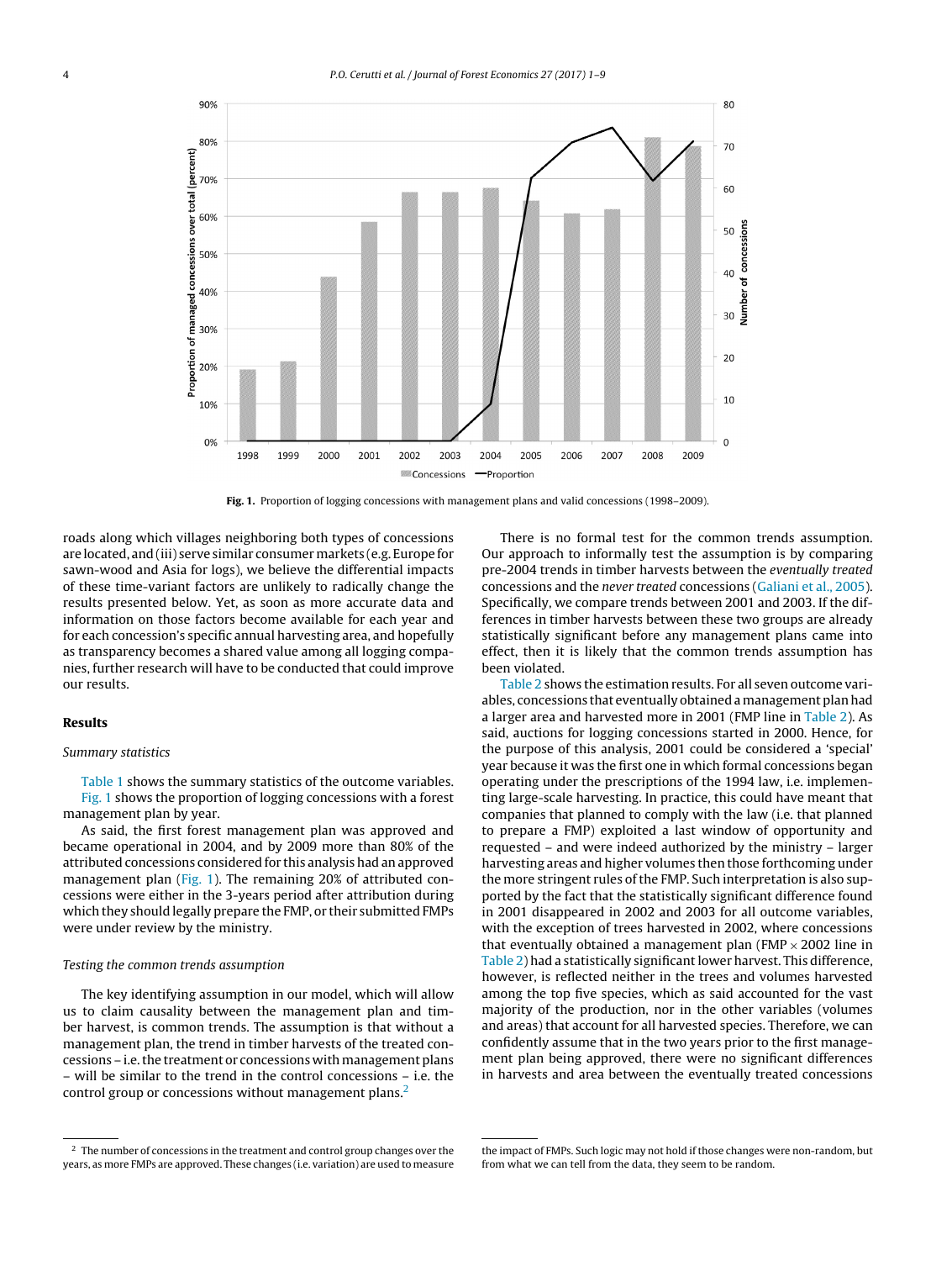

**Fig. 1.** Proportion of logging concessions with management plans and valid concessions (1998–2009).

roads along which villages neighboring both types of concessions are located, and (iii) serve similar consumer markets (e.g. Europe for sawn-wood and Asia for logs), we believe the differential impacts of these time-variant factors are unlikely to radically change the results presented below. Yet, as soon as more accurate data and information on those factors become available for each year and for each concession's specific annual harvesting area, and hopefully as transparency becomes a shared value among all logging companies, further research will have to be conducted that could improve our results.

# **Results**

#### Summary statistics

[Table](#page-2-0) 1 shows the summary statistics of the outcome variables. Fig. 1 shows the proportion of logging concessions with a forest management plan by year.

As said, the first forest management plan was approved and became operational in 2004, and by 2009 more than 80% of the attributed concessions considered for this analysis had an approved management plan (Fig. 1). The remaining 20% of attributed concessions were either in the 3-years period after attribution during which they should legally prepare the FMP, or their submitted FMPs were under review by the ministry.

## Testing the common trends assumption

The key identifying assumption in our model, which will allow us to claim causality between the management plan and timber harvest, is common trends. The assumption is that without a management plan, the trend in timber harvests of the treated concessions – i.e.the treatment or concessions with management plans – will be similar to the trend in the control concessions – i.e. the control group or concessions without management plans.<sup>2</sup>

 $^{\rm 2}$  The number of concessions in the treatment and control group changes over the years, as more FMPs are approved. These changes (i.e. variation) are used to measure

There is no formal test for the common trends assumption. Our approach to informally test the assumption is by comparing pre-2004 trends in timber harvests between the eventually treated concessions and the never treated concessions ([Galiani](#page-7-0) et [al.,](#page-7-0) [2005\).](#page-7-0) Specifically, we compare trends between 2001 and 2003. If the differences in timber harvests between these two groups are already statistically significant before any management plans came into effect, then it is likely that the common trends assumption has been violated.

[Table](#page-4-0) 2 shows the estimation results. For all seven outcome variables, concessions that eventually obtained a management plan had a larger area and harvested more in 2001 (FMP line in [Table](#page-4-0) 2). As said, auctions for logging concessions started in 2000. Hence, for the purpose of this analysis, 2001 could be considered a 'special' year because it was the first one in which formal concessions began operating under the prescriptions of the 1994 law, i.e. implementing large-scale harvesting. In practice, this could have meant that companies that planned to comply with the law (i.e. that planned to prepare a FMP) exploited a last window of opportunity and requested – and were indeed authorized by the ministry – larger harvesting areas and higher volumes then those forthcoming under the more stringent rules of the FMP. Such interpretation is also supported by the fact that the statistically significant difference found in 2001 disappeared in 2002 and 2003 for all outcome variables, with the exception of trees harvested in 2002, where concessions that eventually obtained a management plan (FMP  $\times$  2002 line in [Table](#page-4-0) 2) had a statistically significant lower harvest. This difference, however, is reflected neither in the trees and volumes harvested among the top five species, which as said accounted for the vast majority of the production, nor in the other variables (volumes and areas) that account for all harvested species. Therefore, we can confidently assume that in the two years prior to the first management plan being approved, there were no significant differences in harvests and area between the eventually treated concessions

the impact of FMPs. Such logic may not hold if those changes were non-random, but from what we can tell from the data, they seem to be random.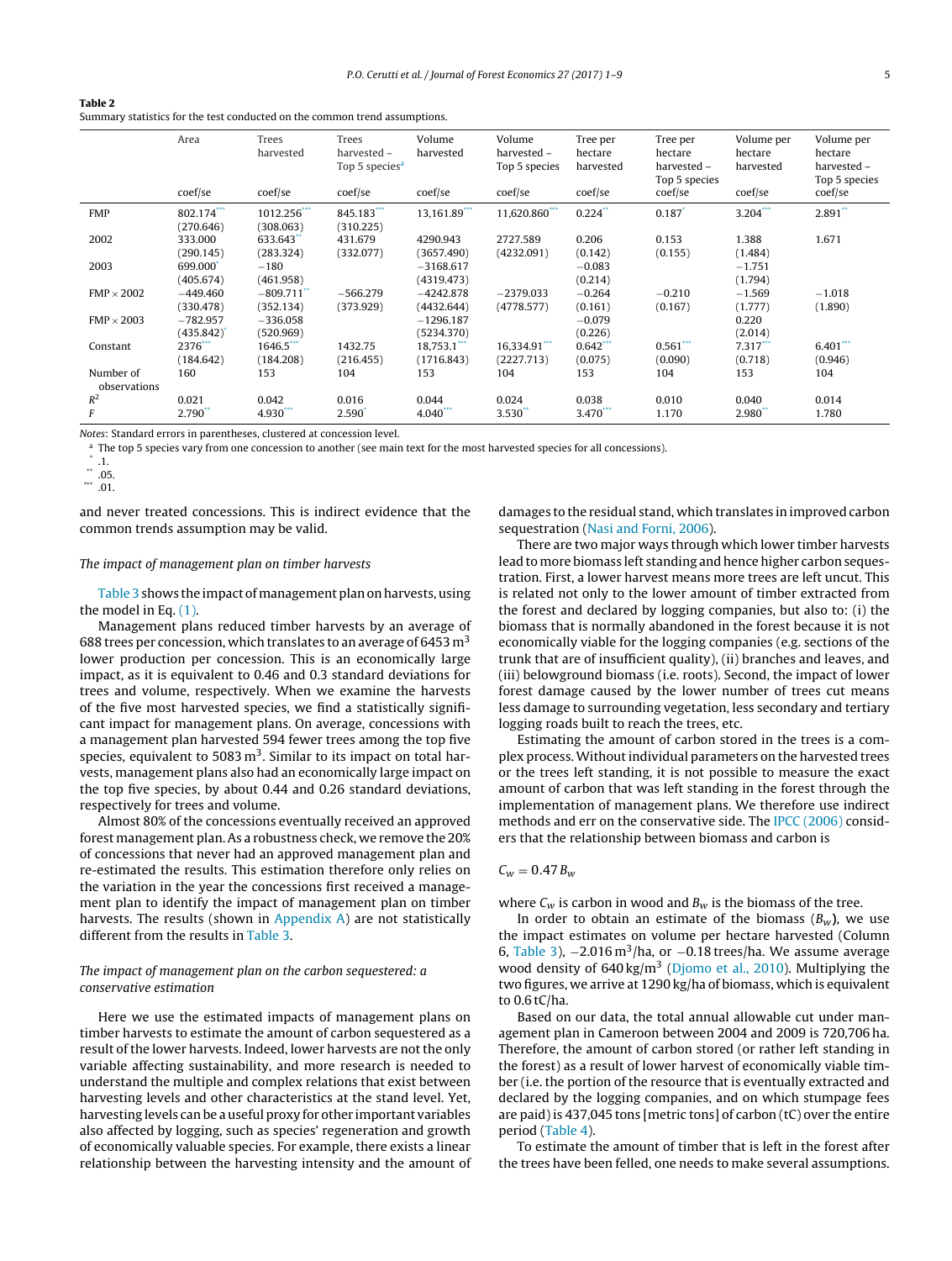#### <span id="page-4-0"></span>**Table 2** Summary statistics for the test conducted on the common trend assumptions.

|                   | Area                     | Trees<br>harvested       | Trees<br>harvested -<br>Top 5 species <sup>a</sup> | Volume<br>harvested | Volume<br>harvested -<br>Top 5 species | Tree per<br>hectare<br>harvested | Tree per<br>hectare<br>harvested -<br>Top 5 species | Volume per<br>hectare<br>harvested | Volume per<br>hectare<br>harvested -<br>Top 5 species |
|-------------------|--------------------------|--------------------------|----------------------------------------------------|---------------------|----------------------------------------|----------------------------------|-----------------------------------------------------|------------------------------------|-------------------------------------------------------|
|                   | coef/se                  | coef/se                  | coef/se                                            | coef/se             | coef/se                                | coef/se                          | coef/se                                             | coef/se                            | coef/se                                               |
| <b>FMP</b>        | 802.174***<br>(270.646)  | 1012.256***<br>(308.063) | 845.183***<br>(310.225)                            | 13,161.89***        | 11,620.860***                          | $0.224$ **                       | 0.187                                               | $3.204$ ***                        | $2.891$ **                                            |
| 2002              | 333.000                  | 633.643**                | 431.679                                            | 4290.943            | 2727.589                               | 0.206                            | 0.153                                               | 1.388                              | 1.671                                                 |
|                   | (290.145)                | (283.324)                | (332.077)                                          | (3657.490)          | (4232.091)                             | (0.142)                          | (0.155)                                             | (1.484)                            |                                                       |
| 2003              | 699.000                  | $-180$                   |                                                    | $-3168.617$         |                                        | $-0.083$                         |                                                     | $-1.751$                           |                                                       |
|                   | (405.674)                | (461.958)                |                                                    | (4319.473)          |                                        | (0.214)                          |                                                     | (1.794)                            |                                                       |
| $FMP \times 2002$ | $-449.460$               | $-809.711$ **            | $-566.279$                                         | $-4242.878$         | $-2379.033$                            | $-0.264$                         | $-0.210$                                            | $-1.569$                           | $-1.018$                                              |
|                   | (330.478)                | (352.134)                | (373.929)                                          | (4432.644)          | (4778.577)                             | (0.161)                          | (0.167)                                             | (1.777)                            | (1.890)                                               |
| $FMP \times 2003$ | $-782.957$               | $-336.058$               |                                                    | $-1296.187$         |                                        | $-0.079$                         |                                                     | 0.220                              |                                                       |
|                   | $(435.842)$ <sup>*</sup> | (520.969)                |                                                    | (5234.370)          |                                        | (0.226)                          |                                                     | (2.014)                            |                                                       |
| Constant          | 2376**                   | 1646.5**                 | 1432.75                                            | 18,753.1            | 16,334.91***                           | $0.642$ **                       | $0.561***$                                          | $7.317***$                         | $6.401$ ***                                           |
|                   | (184.642)                | (184.208)                | (216.455)                                          | (1716.843)          | (2227.713)                             | (0.075)                          | (0.090)                                             | (0.718)                            | (0.946)                                               |
| Number of         | 160                      | 153                      | 104                                                | 153                 | 104                                    | 153                              | 104                                                 | 153                                | 104                                                   |
| observations      |                          |                          |                                                    |                     |                                        |                                  |                                                     |                                    |                                                       |
| $R^2$             | 0.021                    | 0.042                    | 0.016                                              | 0.044               | 0.024                                  | 0.038                            | 0.010                                               | 0.040                              | 0.014                                                 |
|                   | 2.790                    | 4.930***                 | 2.590'                                             | $4.040***$          | 3.530                                  | $3.470***$                       | 1.170                                               | 2.980                              | 1.780                                                 |

Notes: Standard errors in parentheses, clustered at concession level.

<sup>a</sup> The top 5 species vary from one concession to another (see main text for the most harvested species for all concessions).

 $^*$  .1.

\*\* .05. \*\*\*  $.01$ .

and never treated concessions. This is indirect evidence that the common trends assumption may be valid.

## The impact of management plan on timber harvests

[Table](#page-5-0) 3 shows the impact of management plan on harvests, using the model in Eq. [\(1\).](#page-2-0)

Management plans reduced timber harvests by an average of 688 trees per concession, which translates to an average of 6453  $m<sup>3</sup>$ lower production per concession. This is an economically large impact, as it is equivalent to 0.46 and 0.3 standard deviations for trees and volume, respectively. When we examine the harvests of the five most harvested species, we find a statistically significant impact for management plans. On average, concessions with a management plan harvested 594 fewer trees among the top five species, equivalent to 5083 $m<sup>3</sup>$ . Similar to its impact on total harvests, management plans also had an economically large impact on the top five species, by about 0.44 and 0.26 standard deviations, respectively for trees and volume.

Almost 80% of the concessions eventually received an approved forest management plan. As a robustness check, we remove the 20% of concessions that never had an approved management plan and re-estimated the results. This estimation therefore only relies on the variation in the year the concessions first received a management plan to identify the impact of management plan on timber harvests. The results (shown in [Appendix](#page-7-0) [A\)](#page-7-0) are not statistically different from the results in [Table](#page-5-0) 3.

# The impact of management plan on the carbon sequestered: a conservative estimation

Here we use the estimated impacts of management plans on timber harvests to estimate the amount of carbon sequestered as a result of the lower harvests. Indeed, lower harvests are not the only variable affecting sustainability, and more research is needed to understand the multiple and complex relations that exist between harvesting levels and other characteristics at the stand level. Yet, harvesting levels can be a useful proxy for other important variables also affected by logging, such as species' regeneration and growth of economically valuable species. For example, there exists a linear relationship between the harvesting intensity and the amount of damages to the residual stand, which translates in improved carbon sequestration [\(Nasi](#page-7-0) [and](#page-7-0) [Forni,](#page-7-0) [2006\).](#page-7-0)

There are two major ways through which lower timber harvests lead to more biomass left standing and hence higher carbon sequestration. First, a lower harvest means more trees are left uncut. This is related not only to the lower amount of timber extracted from the forest and declared by logging companies, but also to: (i) the biomass that is normally abandoned in the forest because it is not economically viable for the logging companies (e.g. sections of the trunk that are of insufficient quality), (ii) branches and leaves, and (iii) belowground biomass (i.e. roots). Second, the impact of lower forest damage caused by the lower number of trees cut means less damage to surrounding vegetation, less secondary and tertiary logging roads built to reach the trees, etc.

Estimating the amount of carbon stored in the trees is a complex process. Without individual parameters on the harvested trees or the trees left standing, it is not possible to measure the exact amount of carbon that was left standing in the forest through the implementation of management plans. We therefore use indirect methods and err on the conservative side. The [IPCC](#page-7-0) [\(2006\)](#page-7-0) considers that the relationship between biomass and carbon is

# $C_W = 0.47 B_W$

where  $C_w$  is carbon in wood and  $B_w$  is the biomass of the tree.

In order to obtain an estimate of the biomass  $(B_w)$ , we use the impact estimates on volume per hectare harvested (Column 6, [Table](#page-5-0) 3),  $-2.016 \text{ m}^3/\text{ha}$ , or  $-0.18$  trees/ha. We assume average wood density of 640 kg/m<sup>3</sup> ([Djomo](#page-7-0) et [al.,](#page-7-0) [2010\).](#page-7-0) Multiplying the two figures, we arrive at 1290 kg/ha of biomass, which is equivalent to 0.6 tC/ha.

Based on our data, the total annual allowable cut under management plan in Cameroon between 2004 and 2009 is 720,706 ha. Therefore, the amount of carbon stored (or rather left standing in the forest) as a result of lower harvest of economically viable timber (i.e. the portion of the resource that is eventually extracted and declared by the logging companies, and on which stumpage fees are paid) is 437,045 tons [metric tons] of carbon (tC) over the entire period [\(Table](#page-5-0) 4).

To estimate the amount of timber that is left in the forest after the trees have been felled, one needs to make several assumptions.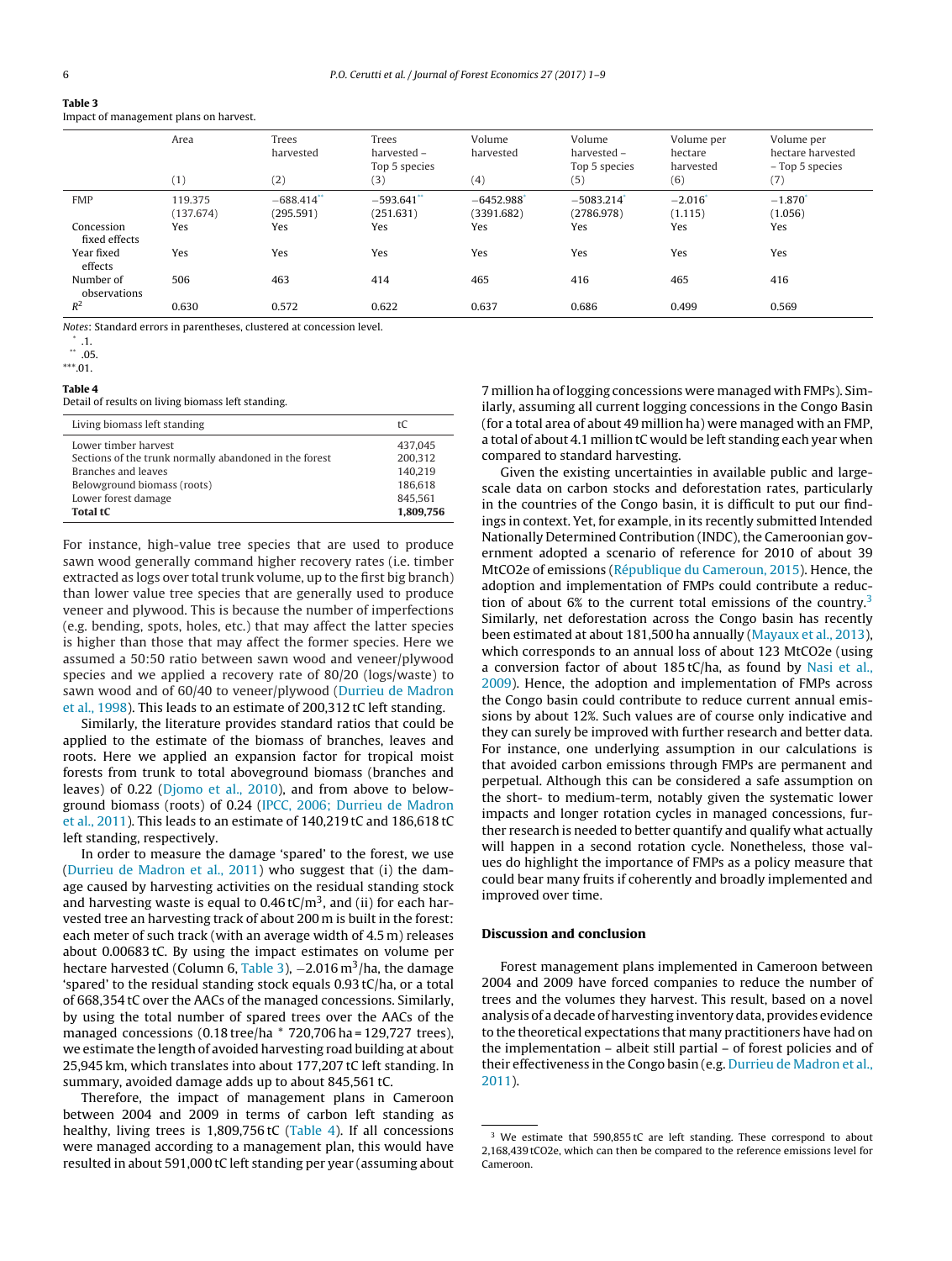<span id="page-5-0"></span>

| Table 3                                |
|----------------------------------------|
| Impact of management plans on harvest. |

|                             | Area                 | Trees<br>harvested         | Trees<br>harvested -<br>Top 5 species | Volume<br>harvested       | Volume<br>harvested -<br>Top 5 species | Volume per<br>hectare<br>harvested | Volume per<br>hectare harvested<br>- Top 5 species |
|-----------------------------|----------------------|----------------------------|---------------------------------------|---------------------------|----------------------------------------|------------------------------------|----------------------------------------------------|
|                             | (1)                  | (2)                        | (3)                                   | (4)                       | (5)                                    | (6)                                | (7)                                                |
| <b>FMP</b>                  | 119.375<br>(137.674) | $-688.414$ **<br>(295.591) | $-593.641$ **<br>(251.631)            | $-6452.988$<br>(3391.682) | $-5083.214$ <sup>*</sup><br>(2786.978) | $-2.016^*$<br>(1.115)              | $-1.870^{*}$<br>(1.056)                            |
| Concession<br>fixed effects | Yes                  | Yes                        | Yes                                   | Yes                       | Yes                                    | Yes                                | Yes                                                |
| Year fixed<br>effects       | Yes                  | Yes                        | Yes                                   | Yes                       | Yes                                    | Yes                                | Yes                                                |
| Number of<br>observations   | 506                  | 463                        | 414                                   | 465                       | 416                                    | 465                                | 416                                                |
| $R^2$                       | 0.630                | 0.572                      | 0.622                                 | 0.637                     | 0.686                                  | 0.499                              | 0.569                                              |

Notes: Standard errors in parentheses, clustered at concession level.

 $^*$  .1.

 $^*$  .05.

\*\*\*.01.

#### **Table 4**

Detail of results on living biomass left standing.

| Living biomass left standing                           | tC        |
|--------------------------------------------------------|-----------|
| Lower timber harvest                                   | 437.045   |
| Sections of the trunk normally abandoned in the forest | 200,312   |
| Branches and leaves                                    | 140.219   |
| Belowground biomass (roots)                            | 186.618   |
| Lower forest damage                                    | 845.561   |
| <b>Total tC</b>                                        | 1,809,756 |

For instance, high-value tree species that are used to produce sawn wood generally command higher recovery rates (i.e. timber extracted as logs over total trunk volume, up to the first big branch) than lower value tree species that are generally used to produce veneer and plywood. This is because the number of imperfections (e.g. bending, spots, holes, etc.) that may affect the latter species is higher than those that may affect the former species. Here we assumed a 50:50 ratio between sawn wood and veneer/plywood species and we applied a recovery rate of 80/20 (logs/waste) to sawn wood and of 60/40 to veneer/plywood [\(Durrieu](#page-7-0) [de](#page-7-0) [Madron](#page-7-0) et [al.,](#page-7-0) [1998\).](#page-7-0) This leads to an estimate of 200,312 tC left standing.

Similarly, the literature provides standard ratios that could be applied to the estimate of the biomass of branches, leaves and roots. Here we applied an expansion factor for tropical moist forests from trunk to total aboveground biomass (branches and leaves) of 0.22 [\(Djomo](#page-7-0) et [al.,](#page-7-0) [2010\),](#page-7-0) and from above to belowground biomass (roots) of 0.24 [\(IPCC,](#page-7-0) [2006;](#page-7-0) [Durrieu](#page-7-0) [de](#page-7-0) [Madron](#page-7-0) et [al.,](#page-7-0) [2011\).](#page-7-0) This leads to an estimate of 140,219 tC and 186,618 tC left standing, respectively.

In order to measure the damage 'spared' to the forest, we use ([Durrieu](#page-7-0) [de](#page-7-0) [Madron](#page-7-0) et [al.,](#page-7-0) [2011\)](#page-7-0) who suggest that (i) the damage caused by harvesting activities on the residual standing stock and harvesting waste is equal to  $0.46$  tC/m<sup>3</sup>, and (ii) for each harvested tree an harvesting track of about 200 m is built in the forest: each meter of such track (with an average width of 4.5 m) releases about 0.00683 tC. By using the impact estimates on volume per hectare harvested (Column 6, Table 3),  $-2.016 \,\mathrm{m}^3/\mathrm{ha}$ , the damage 'spared' to the residual standing stock equals 0.93 tC/ha, or a total of 668,354 tC over the AACs of the managed concessions. Similarly, by using the total number of spared trees over the AACs of the managed concessions (0.18 tree/ha \* 720,706 ha = 129,727 trees), we estimate the length of avoided harvesting road building at about 25,945 km, which translates into about 177,207 tC left standing. In summary, avoided damage adds up to about 845,561 tC.

Therefore, the impact of management plans in Cameroon between 2004 and 2009 in terms of carbon left standing as healthy, living trees is 1,809,756 tC (Table 4). If all concessions were managed according to a management plan, this would have resulted in about 591,000 tC left standing per year (assuming about 7 million ha of logging concessions were managed with FMPs). Similarly, assuming all current logging concessions in the Congo Basin (for a total area of about 49 million ha) were managed with an FMP, a total of about 4.1 million tC would be left standing each year when compared to standard harvesting.

Given the existing uncertainties in available public and largescale data on carbon stocks and deforestation rates, particularly in the countries of the Congo basin, it is difficult to put our findings in context. Yet, for example, in its recently submitted Intended Nationally Determined Contribution (INDC), the Cameroonian government adopted a scenario of reference for 2010 of about 39 MtCO2e of emissions [\(République](#page-7-0) [du](#page-7-0) [Cameroun,](#page-7-0) [2015\).](#page-7-0) Hence, the adoption and implementation of FMPs could contribute a reduction of about  $6\%$  to the current total emissions of the country.<sup>3</sup> Similarly, net deforestation across the Congo basin has recently been estimated at about 181,500 ha annually [\(Mayaux](#page-7-0) et [al.,](#page-7-0) [2013\),](#page-7-0) which corresponds to an annual loss of about 123 MtCO2e (using a conversion factor of about 185 tC/ha, as found by [Nasi](#page-7-0) et [al.,](#page-7-0) [2009\).](#page-7-0) Hence, the adoption and implementation of FMPs across the Congo basin could contribute to reduce current annual emissions by about 12%. Such values are of course only indicative and they can surely be improved with further research and better data. For instance, one underlying assumption in our calculations is that avoided carbon emissions through FMPs are permanent and perpetual. Although this can be considered a safe assumption on the short- to medium-term, notably given the systematic lower impacts and longer rotation cycles in managed concessions, further research is needed to better quantify and qualify what actually will happen in a second rotation cycle. Nonetheless, those values do highlight the importance of FMPs as a policy measure that could bear many fruits if coherently and broadly implemented and improved over time.

# **Discussion and conclusion**

Forest management plans implemented in Cameroon between 2004 and 2009 have forced companies to reduce the number of trees and the volumes they harvest. This result, based on a novel analysis of a decade of harvesting inventory data, provides evidence to the theoretical expectations that many practitioners have had on the implementation – albeit still partial – of forest policies and of their effectiveness in the Congo basin (e.g. [Durrieu](#page-7-0) [de](#page-7-0) [Madron](#page-7-0) et [al.,](#page-7-0) [2011\).](#page-7-0)

<sup>&</sup>lt;sup>3</sup> We estimate that 590,855 tC are left standing. These correspond to about 2,168,439 tCO2e, which can then be compared to the reference emissions level for Cameroon.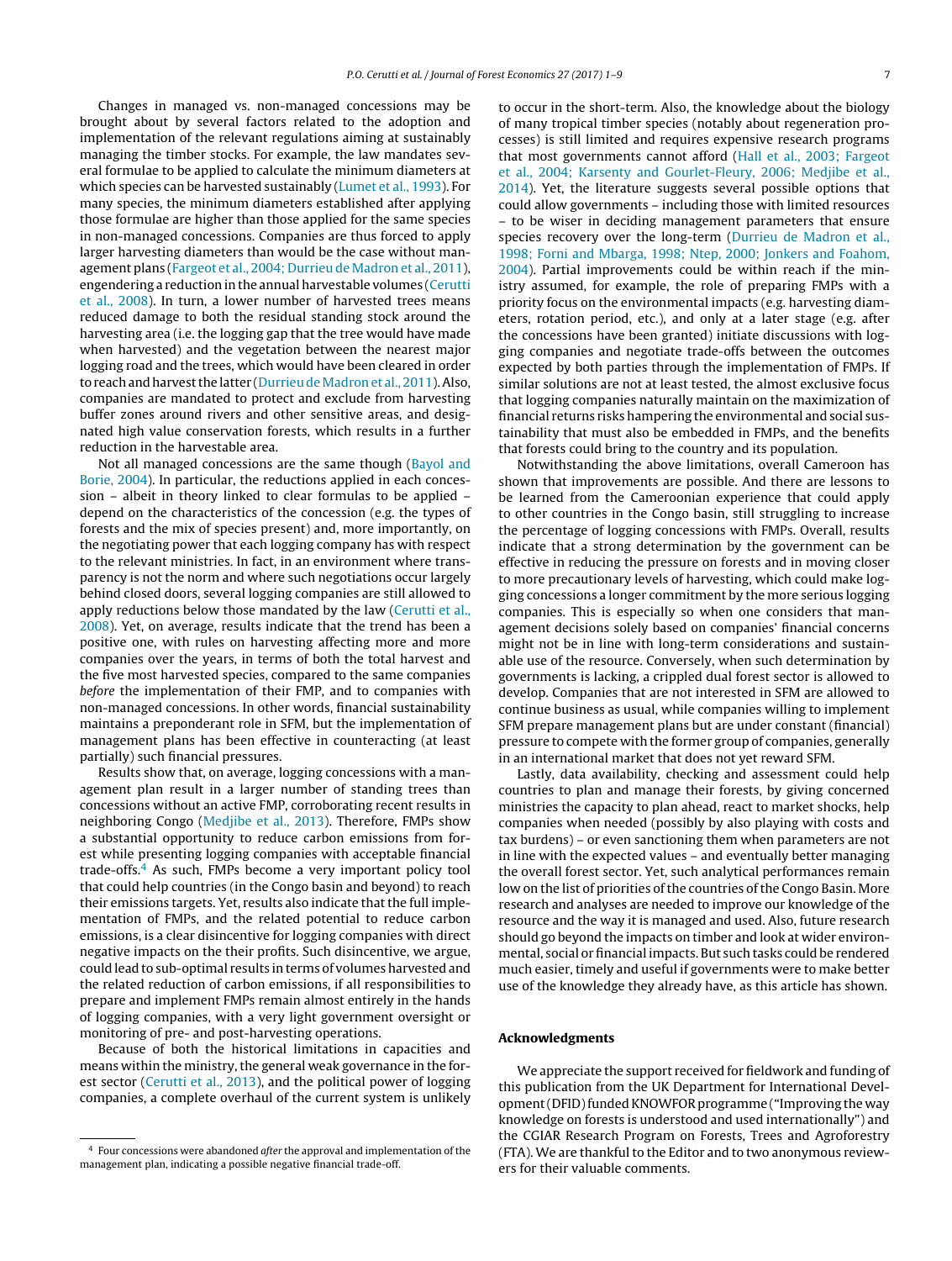Changes in managed vs. non-managed concessions may be brought about by several factors related to the adoption and implementation of the relevant regulations aiming at sustainably managing the timber stocks. For example, the law mandates several formulae to be applied to calculate the minimum diameters at which species can be harvested sustainably [\(Lumet](#page-7-0) et [al.,](#page-7-0) [1993\).](#page-7-0) For many species, the minimum diameters established after applying those formulae are higher than those applied for the same species in non-managed concessions. Companies are thus forced to apply larger harvesting diameters than would be the case without management plans [\(Fargeot](#page-7-0) et [al.,](#page-7-0) [2004;](#page-7-0) [Durrieu](#page-7-0) [de](#page-7-0) [Madron](#page-7-0) et [al.,](#page-7-0) [2011\),](#page-7-0) engendering a reduction in the annual harvestable volumes ([Cerutti](#page-7-0) et [al.,](#page-7-0) [2008\).](#page-7-0) In turn, a lower number of harvested trees means reduced damage to both the residual standing stock around the harvesting area (i.e. the logging gap that the tree would have made when harvested) and the vegetation between the nearest major logging road and the trees, which would have been cleared in order to reach and harvest the latter (Durrieu de Madron et al., 2011). Also, companies are mandated to protect and exclude from harvesting buffer zones around rivers and other sensitive areas, and designated high value conservation forests, which results in a further reduction in the harvestable area.

Not all managed concessions are the same though [\(Bayol](#page-7-0) [and](#page-7-0) [Borie,](#page-7-0) [2004\).](#page-7-0) In particular, the reductions applied in each concession – albeit in theory linked to clear formulas to be applied – depend on the characteristics of the concession (e.g. the types of forests and the mix of species present) and, more importantly, on the negotiating power that each logging company has with respect to the relevant ministries. In fact, in an environment where transparency is not the norm and where such negotiations occur largely behind closed doors, several logging companies are still allowed to apply reductions below those mandated by the law [\(Cerutti](#page-7-0) et [al.,](#page-7-0) [2008\).](#page-7-0) Yet, on average, results indicate that the trend has been a positive one, with rules on harvesting affecting more and more companies over the years, in terms of both the total harvest and the five most harvested species, compared to the same companies before the implementation of their FMP, and to companies with non-managed concessions. In other words, financial sustainability maintains a preponderant role in SFM, but the implementation of management plans has been effective in counteracting (at least partially) such financial pressures.

Results show that, on average, logging concessions with a management plan result in a larger number of standing trees than concessions without an active FMP, corroborating recent results in neighboring Congo [\(Medjibe](#page-7-0) et [al.,](#page-7-0) [2013\).](#page-7-0) Therefore, FMPs show a substantial opportunity to reduce carbon emissions from forest while presenting logging companies with acceptable financial trade-offs.<sup>4</sup> As such, FMPs become a very important policy tool that could help countries (in the Congo basin and beyond) to reach their emissions targets. Yet, results also indicate that the full implementation of FMPs, and the related potential to reduce carbon emissions, is a clear disincentive for logging companies with direct negative impacts on the their profits. Such disincentive, we argue, could lead to sub-optimal results in terms of volumes harvested and the related reduction of carbon emissions, if all responsibilities to prepare and implement FMPs remain almost entirely in the hands of logging companies, with a very light government oversight or monitoring of pre- and post-harvesting operations.

Because of both the historical limitations in capacities and means within the ministry, the general weak governance in the forest sector [\(Cerutti](#page-7-0) et [al.,](#page-7-0) [2013\),](#page-7-0) and the political power of logging companies, a complete overhaul of the current system is unlikely

to occur in the short-term. Also, the knowledge about the biology of many tropical timber species (notably about regeneration processes) is still limited and requires expensive research programs that most governments cannot afford [\(Hall](#page-7-0) et [al.,](#page-7-0) [2003;](#page-7-0) [Fargeot](#page-7-0) et [al.,](#page-7-0) [2004;](#page-7-0) [Karsenty](#page-7-0) [and](#page-7-0) [Gourlet-Fleury,](#page-7-0) [2006;](#page-7-0) [Medjibe](#page-7-0) et [al.,](#page-7-0) [2014\).](#page-7-0) Yet, the literature suggests several possible options that could allow governments – including those with limited resources – to be wiser in deciding management parameters that ensure species recovery over the long-term [\(Durrieu](#page-7-0) [de](#page-7-0) [Madron](#page-7-0) et [al.,](#page-7-0) [1998;](#page-7-0) [Forni](#page-7-0) [and](#page-7-0) [Mbarga,](#page-7-0) [1998;](#page-7-0) [Ntep,](#page-7-0) [2000;](#page-7-0) [Jonkers](#page-7-0) [and](#page-7-0) [Foahom,](#page-7-0) [2004\).](#page-7-0) Partial improvements could be within reach if the ministry assumed, for example, the role of preparing FMPs with a priority focus on the environmental impacts (e.g. harvesting diameters, rotation period, etc.), and only at a later stage (e.g. after the concessions have been granted) initiate discussions with logging companies and negotiate trade-offs between the outcomes expected by both parties through the implementation of FMPs. If similar solutions are not at least tested, the almost exclusive focus that logging companies naturally maintain on the maximization of financial returns risks hampering the environmental and social sustainability that must also be embedded in FMPs, and the benefits that forests could bring to the country and its population.

Notwithstanding the above limitations, overall Cameroon has shown that improvements are possible. And there are lessons to be learned from the Cameroonian experience that could apply to other countries in the Congo basin, still struggling to increase the percentage of logging concessions with FMPs. Overall, results indicate that a strong determination by the government can be effective in reducing the pressure on forests and in moving closer to more precautionary levels of harvesting, which could make logging concessions a longer commitment by the more serious logging companies. This is especially so when one considers that management decisions solely based on companies' financial concerns might not be in line with long-term considerations and sustainable use of the resource. Conversely, when such determination by governments is lacking, a crippled dual forest sector is allowed to develop. Companies that are not interested in SFM are allowed to continue business as usual, while companies willing to implement SFM prepare management plans but are under constant (financial) pressure to compete with the former group of companies, generally in an international market that does not yet reward SFM.

Lastly, data availability, checking and assessment could help countries to plan and manage their forests, by giving concerned ministries the capacity to plan ahead, react to market shocks, help companies when needed (possibly by also playing with costs and tax burdens) – or even sanctioning them when parameters are not in line with the expected values – and eventually better managing the overall forest sector. Yet, such analytical performances remain low on the list of priorities of the countries of the Congo Basin. More research and analyses are needed to improve our knowledge of the resource and the way it is managed and used. Also, future research should go beyond the impacts on timber and look at wider environmental, social or financial impacts. But such tasks could be rendered much easier, timely and useful if governments were to make better use of the knowledge they already have, as this article has shown.

## **Acknowledgments**

We appreciate the support received for fieldwork and funding of this publication from the UK Department for International Development (DFID) funded KNOWFOR programme ("Improving the way knowledge on forests is understood and used internationally") and the CGIAR Research Program on Forests, Trees and Agroforestry (FTA). We are thankful to the Editor and to two anonymous reviewers for their valuable comments.

<sup>4</sup> Four concessions were abandoned after the approval and implementation of the management plan, indicating a possible negative financial trade-off.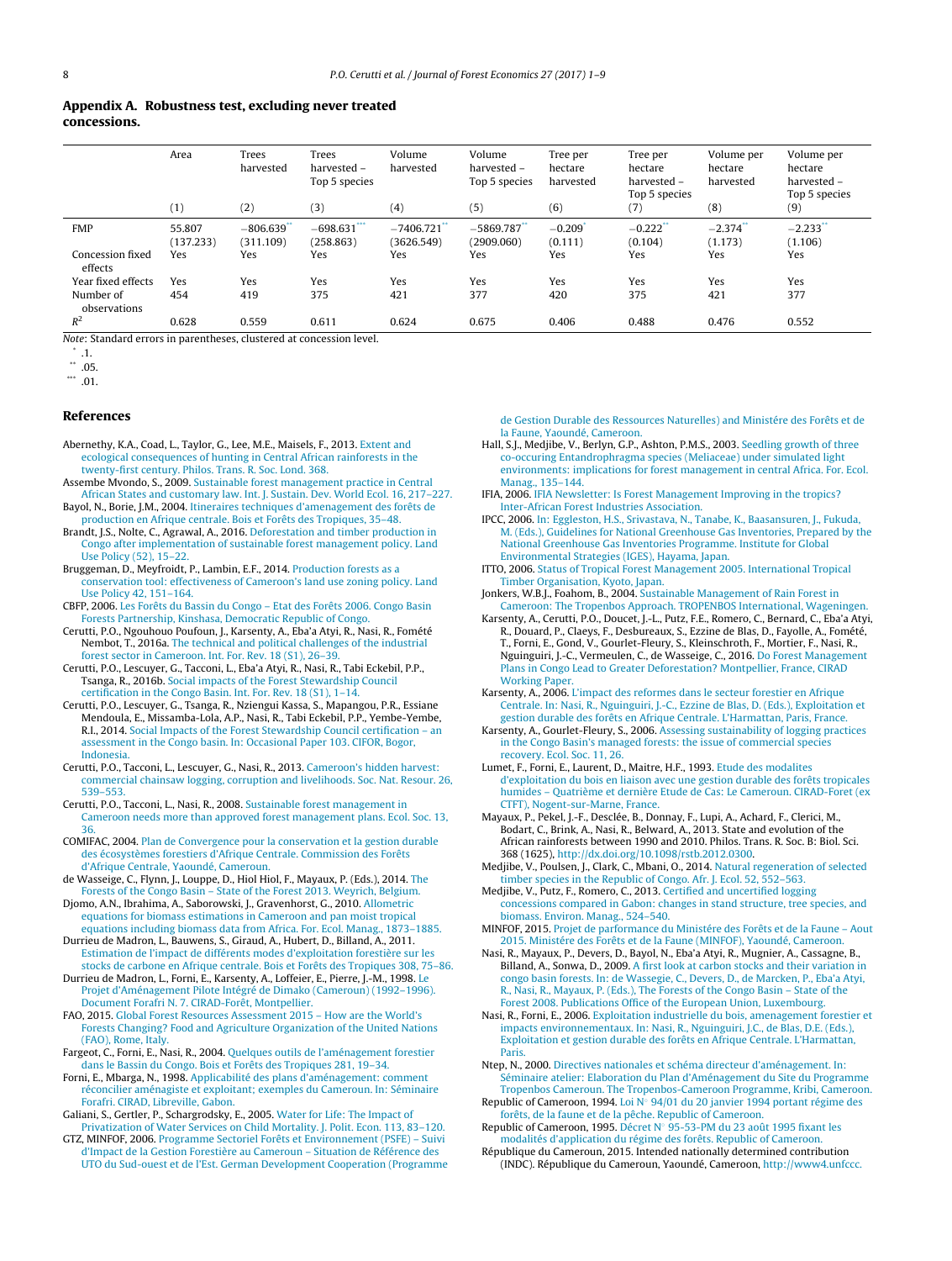<span id="page-7-0"></span>

|              | Appendix A. Robustness test, excluding never treated |
|--------------|------------------------------------------------------|
| concessions. |                                                      |

|                             | Area                | Trees<br>harvested         | Trees<br>harvested -<br>Top 5 species | Volume<br>harvested          | Volume<br>harvested -<br>Top 5 species | Tree per<br>hectare<br>harvested | Tree per<br>hectare<br>harvested -<br>Top 5 species | Volume per<br>hectare<br>harvested | Volume per<br>hectare<br>harvested -<br>Top 5 species |
|-----------------------------|---------------------|----------------------------|---------------------------------------|------------------------------|----------------------------------------|----------------------------------|-----------------------------------------------------|------------------------------------|-------------------------------------------------------|
|                             | (1)                 | (2)                        | (3)                                   | (4)                          | (5)                                    | (6)                              | (7)                                                 | (8)                                | (9)                                                   |
| <b>FMP</b>                  | 55.807<br>(137.233) | $-806.639$ **<br>(311.109) | $-698.631***$<br>(258.863)            | $-7406.721$ **<br>(3626.549) | $-5869.787$ *<br>(2909.060)            | $-0.209$ <sup>*</sup><br>(0.111) | $-0.222$<br>(0.104)                                 | $-2.374$ <sup>**</sup><br>(1.173)  | $-2.233$ **<br>(1.106)                                |
| Concession fixed<br>effects | Yes                 | Yes                        | Yes                                   | Yes                          | Yes                                    | Yes                              | Yes                                                 | Yes                                | Yes                                                   |
| Year fixed effects          | Yes                 | Yes                        | Yes                                   | Yes                          | Yes                                    | Yes                              | Yes                                                 | Yes                                | Yes                                                   |
| Number of<br>observations   | 454                 | 419                        | 375                                   | 421                          | 377                                    | 420                              | 375                                                 | 421                                | 377                                                   |
| $R^2$                       | 0.628               | 0.559                      | 0.611                                 | 0.624                        | 0.675                                  | 0.406                            | 0.488                                               | 0.476                              | 0.552                                                 |

Note: Standard errors in parentheses, clustered at concession level.

 $\begin{array}{c} \therefore \end{array}$ .1.

.05.

\*\*\* .01.

#### **References**

- Abernethy, K.A., Coad, L., Taylor, G., Lee, M.E., Maisels, F., 2013. [Extent](http://refhub.elsevier.com/S1104-6899(17)30031-4/sbref0005) [and](http://refhub.elsevier.com/S1104-6899(17)30031-4/sbref0005) [ecological](http://refhub.elsevier.com/S1104-6899(17)30031-4/sbref0005) [consequences](http://refhub.elsevier.com/S1104-6899(17)30031-4/sbref0005) [of](http://refhub.elsevier.com/S1104-6899(17)30031-4/sbref0005) [hunting](http://refhub.elsevier.com/S1104-6899(17)30031-4/sbref0005) [in](http://refhub.elsevier.com/S1104-6899(17)30031-4/sbref0005) [Central](http://refhub.elsevier.com/S1104-6899(17)30031-4/sbref0005) [African](http://refhub.elsevier.com/S1104-6899(17)30031-4/sbref0005) [rainforests](http://refhub.elsevier.com/S1104-6899(17)30031-4/sbref0005) [in](http://refhub.elsevier.com/S1104-6899(17)30031-4/sbref0005) [the](http://refhub.elsevier.com/S1104-6899(17)30031-4/sbref0005) [twenty-first](http://refhub.elsevier.com/S1104-6899(17)30031-4/sbref0005) [century.](http://refhub.elsevier.com/S1104-6899(17)30031-4/sbref0005) [Philos.](http://refhub.elsevier.com/S1104-6899(17)30031-4/sbref0005) [Trans.](http://refhub.elsevier.com/S1104-6899(17)30031-4/sbref0005) [R.](http://refhub.elsevier.com/S1104-6899(17)30031-4/sbref0005) [Soc.](http://refhub.elsevier.com/S1104-6899(17)30031-4/sbref0005) [Lond.](http://refhub.elsevier.com/S1104-6899(17)30031-4/sbref0005) [368.](http://refhub.elsevier.com/S1104-6899(17)30031-4/sbref0005)
- Assembe Mvondo, S., 2009. [Sustainable](http://refhub.elsevier.com/S1104-6899(17)30031-4/sbref0010) [forest](http://refhub.elsevier.com/S1104-6899(17)30031-4/sbref0010) [management](http://refhub.elsevier.com/S1104-6899(17)30031-4/sbref0010) [practice](http://refhub.elsevier.com/S1104-6899(17)30031-4/sbref0010) [in](http://refhub.elsevier.com/S1104-6899(17)30031-4/sbref0010) [Central](http://refhub.elsevier.com/S1104-6899(17)30031-4/sbref0010) [African](http://refhub.elsevier.com/S1104-6899(17)30031-4/sbref0010) [States](http://refhub.elsevier.com/S1104-6899(17)30031-4/sbref0010) [and](http://refhub.elsevier.com/S1104-6899(17)30031-4/sbref0010) [customary](http://refhub.elsevier.com/S1104-6899(17)30031-4/sbref0010) [law.](http://refhub.elsevier.com/S1104-6899(17)30031-4/sbref0010) [Int.](http://refhub.elsevier.com/S1104-6899(17)30031-4/sbref0010) [J.](http://refhub.elsevier.com/S1104-6899(17)30031-4/sbref0010) [Sustain.](http://refhub.elsevier.com/S1104-6899(17)30031-4/sbref0010) [Dev.](http://refhub.elsevier.com/S1104-6899(17)30031-4/sbref0010) [World](http://refhub.elsevier.com/S1104-6899(17)30031-4/sbref0010) [Ecol.](http://refhub.elsevier.com/S1104-6899(17)30031-4/sbref0010) [16,](http://refhub.elsevier.com/S1104-6899(17)30031-4/sbref0010) [217–227.](http://refhub.elsevier.com/S1104-6899(17)30031-4/sbref0010)

Bayol, N., Borie, J.M., 2004. [Itineraires](http://refhub.elsevier.com/S1104-6899(17)30031-4/sbref0015) [techniques](http://refhub.elsevier.com/S1104-6899(17)30031-4/sbref0015) [d'amenagement](http://refhub.elsevier.com/S1104-6899(17)30031-4/sbref0015) [des](http://refhub.elsevier.com/S1104-6899(17)30031-4/sbref0015) [forêts](http://refhub.elsevier.com/S1104-6899(17)30031-4/sbref0015) [de](http://refhub.elsevier.com/S1104-6899(17)30031-4/sbref0015) [production](http://refhub.elsevier.com/S1104-6899(17)30031-4/sbref0015) [en](http://refhub.elsevier.com/S1104-6899(17)30031-4/sbref0015) [Afrique](http://refhub.elsevier.com/S1104-6899(17)30031-4/sbref0015) [centrale.](http://refhub.elsevier.com/S1104-6899(17)30031-4/sbref0015) [Bois](http://refhub.elsevier.com/S1104-6899(17)30031-4/sbref0015) [et](http://refhub.elsevier.com/S1104-6899(17)30031-4/sbref0015) [Forêts](http://refhub.elsevier.com/S1104-6899(17)30031-4/sbref0015) [des](http://refhub.elsevier.com/S1104-6899(17)30031-4/sbref0015) [Tropiques,](http://refhub.elsevier.com/S1104-6899(17)30031-4/sbref0015) [35–48.](http://refhub.elsevier.com/S1104-6899(17)30031-4/sbref0015)

Brandt, J.S., Nolte, C., Agrawal, A., 2016. [Deforestation](http://refhub.elsevier.com/S1104-6899(17)30031-4/sbref0020) [and](http://refhub.elsevier.com/S1104-6899(17)30031-4/sbref0020) [timber](http://refhub.elsevier.com/S1104-6899(17)30031-4/sbref0020) [production](http://refhub.elsevier.com/S1104-6899(17)30031-4/sbref0020) [in](http://refhub.elsevier.com/S1104-6899(17)30031-4/sbref0020) [Congo](http://refhub.elsevier.com/S1104-6899(17)30031-4/sbref0020) [after](http://refhub.elsevier.com/S1104-6899(17)30031-4/sbref0020) [implementation](http://refhub.elsevier.com/S1104-6899(17)30031-4/sbref0020) [of](http://refhub.elsevier.com/S1104-6899(17)30031-4/sbref0020) [sustainable](http://refhub.elsevier.com/S1104-6899(17)30031-4/sbref0020) [forest](http://refhub.elsevier.com/S1104-6899(17)30031-4/sbref0020) [management](http://refhub.elsevier.com/S1104-6899(17)30031-4/sbref0020) [policy.](http://refhub.elsevier.com/S1104-6899(17)30031-4/sbref0020) [Land](http://refhub.elsevier.com/S1104-6899(17)30031-4/sbref0020) [Use](http://refhub.elsevier.com/S1104-6899(17)30031-4/sbref0020) [Policy](http://refhub.elsevier.com/S1104-6899(17)30031-4/sbref0020) [\(52\),](http://refhub.elsevier.com/S1104-6899(17)30031-4/sbref0020) [15–22.](http://refhub.elsevier.com/S1104-6899(17)30031-4/sbref0020)

- Bruggeman, D., Meyfroidt, P., Lambin, E.F., 2014. [Production](http://refhub.elsevier.com/S1104-6899(17)30031-4/sbref0025) [forests](http://refhub.elsevier.com/S1104-6899(17)30031-4/sbref0025) [as](http://refhub.elsevier.com/S1104-6899(17)30031-4/sbref0025) [a](http://refhub.elsevier.com/S1104-6899(17)30031-4/sbref0025) [conservation](http://refhub.elsevier.com/S1104-6899(17)30031-4/sbref0025) [tool:](http://refhub.elsevier.com/S1104-6899(17)30031-4/sbref0025) [effectiveness](http://refhub.elsevier.com/S1104-6899(17)30031-4/sbref0025) [of](http://refhub.elsevier.com/S1104-6899(17)30031-4/sbref0025) [Cameroon's](http://refhub.elsevier.com/S1104-6899(17)30031-4/sbref0025) [land](http://refhub.elsevier.com/S1104-6899(17)30031-4/sbref0025) [use](http://refhub.elsevier.com/S1104-6899(17)30031-4/sbref0025) [zoning](http://refhub.elsevier.com/S1104-6899(17)30031-4/sbref0025) [policy.](http://refhub.elsevier.com/S1104-6899(17)30031-4/sbref0025) [Land](http://refhub.elsevier.com/S1104-6899(17)30031-4/sbref0025) [Use](http://refhub.elsevier.com/S1104-6899(17)30031-4/sbref0025) [Policy](http://refhub.elsevier.com/S1104-6899(17)30031-4/sbref0025) [42,](http://refhub.elsevier.com/S1104-6899(17)30031-4/sbref0025) [151–164.](http://refhub.elsevier.com/S1104-6899(17)30031-4/sbref0025)
- CBFP, 2006. [Les](http://refhub.elsevier.com/S1104-6899(17)30031-4/sbref0030) [Forêts](http://refhub.elsevier.com/S1104-6899(17)30031-4/sbref0030) [du](http://refhub.elsevier.com/S1104-6899(17)30031-4/sbref0030) [Bassin](http://refhub.elsevier.com/S1104-6899(17)30031-4/sbref0030) [du](http://refhub.elsevier.com/S1104-6899(17)30031-4/sbref0030) [Congo](http://refhub.elsevier.com/S1104-6899(17)30031-4/sbref0030) [Etat](http://refhub.elsevier.com/S1104-6899(17)30031-4/sbref0030) [des](http://refhub.elsevier.com/S1104-6899(17)30031-4/sbref0030) [Forêts](http://refhub.elsevier.com/S1104-6899(17)30031-4/sbref0030) [2006.](http://refhub.elsevier.com/S1104-6899(17)30031-4/sbref0030) [Congo](http://refhub.elsevier.com/S1104-6899(17)30031-4/sbref0030) [Basin](http://refhub.elsevier.com/S1104-6899(17)30031-4/sbref0030) [Forests](http://refhub.elsevier.com/S1104-6899(17)30031-4/sbref0030) [Partnership,](http://refhub.elsevier.com/S1104-6899(17)30031-4/sbref0030) [Kinshasa,](http://refhub.elsevier.com/S1104-6899(17)30031-4/sbref0030) [Democratic](http://refhub.elsevier.com/S1104-6899(17)30031-4/sbref0030) [Republic](http://refhub.elsevier.com/S1104-6899(17)30031-4/sbref0030) [of](http://refhub.elsevier.com/S1104-6899(17)30031-4/sbref0030) [Congo.](http://refhub.elsevier.com/S1104-6899(17)30031-4/sbref0030)
- Cerutti, P.O., Ngouhouo Poufoun, J., Karsenty, A., Eba'a Atyi, R., Nasi, R., Fomété Nembot, T., 2016a. [The](http://refhub.elsevier.com/S1104-6899(17)30031-4/sbref0035) [technical](http://refhub.elsevier.com/S1104-6899(17)30031-4/sbref0035) [and](http://refhub.elsevier.com/S1104-6899(17)30031-4/sbref0035) [political](http://refhub.elsevier.com/S1104-6899(17)30031-4/sbref0035) [challenges](http://refhub.elsevier.com/S1104-6899(17)30031-4/sbref0035) [of](http://refhub.elsevier.com/S1104-6899(17)30031-4/sbref0035) [the](http://refhub.elsevier.com/S1104-6899(17)30031-4/sbref0035) [industrial](http://refhub.elsevier.com/S1104-6899(17)30031-4/sbref0035) [forest](http://refhub.elsevier.com/S1104-6899(17)30031-4/sbref0035) [sector](http://refhub.elsevier.com/S1104-6899(17)30031-4/sbref0035) [in](http://refhub.elsevier.com/S1104-6899(17)30031-4/sbref0035) [Cameroon.](http://refhub.elsevier.com/S1104-6899(17)30031-4/sbref0035) [Int.](http://refhub.elsevier.com/S1104-6899(17)30031-4/sbref0035) [For.](http://refhub.elsevier.com/S1104-6899(17)30031-4/sbref0035) [Rev.](http://refhub.elsevier.com/S1104-6899(17)30031-4/sbref0035) [18](http://refhub.elsevier.com/S1104-6899(17)30031-4/sbref0035) [\(S1\),](http://refhub.elsevier.com/S1104-6899(17)30031-4/sbref0035) [26–39.](http://refhub.elsevier.com/S1104-6899(17)30031-4/sbref0035)
- Cerutti, P.O., Lescuyer, G., Tacconi, L., Eba'a Atyi, R., Nasi, R., Tabi Eckebil, P.P., Tsanga, R., 2016b. [Social](http://refhub.elsevier.com/S1104-6899(17)30031-4/sbref0040) [impacts](http://refhub.elsevier.com/S1104-6899(17)30031-4/sbref0040) [of](http://refhub.elsevier.com/S1104-6899(17)30031-4/sbref0040) [the](http://refhub.elsevier.com/S1104-6899(17)30031-4/sbref0040) [Forest](http://refhub.elsevier.com/S1104-6899(17)30031-4/sbref0040) [Stewardship](http://refhub.elsevier.com/S1104-6899(17)30031-4/sbref0040) [Council](http://refhub.elsevier.com/S1104-6899(17)30031-4/sbref0040) [certification](http://refhub.elsevier.com/S1104-6899(17)30031-4/sbref0040) [in](http://refhub.elsevier.com/S1104-6899(17)30031-4/sbref0040) [the](http://refhub.elsevier.com/S1104-6899(17)30031-4/sbref0040) [Congo](http://refhub.elsevier.com/S1104-6899(17)30031-4/sbref0040) [Basin.](http://refhub.elsevier.com/S1104-6899(17)30031-4/sbref0040) [Int.](http://refhub.elsevier.com/S1104-6899(17)30031-4/sbref0040) [For.](http://refhub.elsevier.com/S1104-6899(17)30031-4/sbref0040) [Rev.](http://refhub.elsevier.com/S1104-6899(17)30031-4/sbref0040) [18](http://refhub.elsevier.com/S1104-6899(17)30031-4/sbref0040) [\(S1\),](http://refhub.elsevier.com/S1104-6899(17)30031-4/sbref0040) [1](http://refhub.elsevier.com/S1104-6899(17)30031-4/sbref0040)–[14.](http://refhub.elsevier.com/S1104-6899(17)30031-4/sbref0040)

Cerutti, P.O., Lescuyer, G., Tsanga, R., Nziengui Kassa, S., Mapangou, P.R., Essiane Mendoula, E., Missamba-Lola, A.P., Nasi, R., Tabi Eckebil, P.P., Yembe-Yembe, R.I., 2014. [Social](http://refhub.elsevier.com/S1104-6899(17)30031-4/sbref0045) [Impacts](http://refhub.elsevier.com/S1104-6899(17)30031-4/sbref0045) [of](http://refhub.elsevier.com/S1104-6899(17)30031-4/sbref0045) [the](http://refhub.elsevier.com/S1104-6899(17)30031-4/sbref0045) [Forest](http://refhub.elsevier.com/S1104-6899(17)30031-4/sbref0045) [Stewardship](http://refhub.elsevier.com/S1104-6899(17)30031-4/sbref0045) [Council](http://refhub.elsevier.com/S1104-6899(17)30031-4/sbref0045) [certification](http://refhub.elsevier.com/S1104-6899(17)30031-4/sbref0045) – [an](http://refhub.elsevier.com/S1104-6899(17)30031-4/sbref0045) [assessment](http://refhub.elsevier.com/S1104-6899(17)30031-4/sbref0045) [in](http://refhub.elsevier.com/S1104-6899(17)30031-4/sbref0045) [the](http://refhub.elsevier.com/S1104-6899(17)30031-4/sbref0045) [Congo](http://refhub.elsevier.com/S1104-6899(17)30031-4/sbref0045) [basin.](http://refhub.elsevier.com/S1104-6899(17)30031-4/sbref0045) [In:](http://refhub.elsevier.com/S1104-6899(17)30031-4/sbref0045) [Occasional](http://refhub.elsevier.com/S1104-6899(17)30031-4/sbref0045) [Paper](http://refhub.elsevier.com/S1104-6899(17)30031-4/sbref0045) [103.](http://refhub.elsevier.com/S1104-6899(17)30031-4/sbref0045) [CIFOR,](http://refhub.elsevier.com/S1104-6899(17)30031-4/sbref0045) [Bogor,](http://refhub.elsevier.com/S1104-6899(17)30031-4/sbref0045) [Indonesia.](http://refhub.elsevier.com/S1104-6899(17)30031-4/sbref0045)

Cerutti, P.O., Tacconi, L., Lescuyer, G., Nasi, R., 2013. [Cameroon's](http://refhub.elsevier.com/S1104-6899(17)30031-4/sbref0050) [hidden](http://refhub.elsevier.com/S1104-6899(17)30031-4/sbref0050) [harvest:](http://refhub.elsevier.com/S1104-6899(17)30031-4/sbref0050) [commercial](http://refhub.elsevier.com/S1104-6899(17)30031-4/sbref0050) [chainsaw](http://refhub.elsevier.com/S1104-6899(17)30031-4/sbref0050) [logging,](http://refhub.elsevier.com/S1104-6899(17)30031-4/sbref0050) [corruption](http://refhub.elsevier.com/S1104-6899(17)30031-4/sbref0050) [and](http://refhub.elsevier.com/S1104-6899(17)30031-4/sbref0050) [livelihoods.](http://refhub.elsevier.com/S1104-6899(17)30031-4/sbref0050) [Soc.](http://refhub.elsevier.com/S1104-6899(17)30031-4/sbref0050) [Nat.](http://refhub.elsevier.com/S1104-6899(17)30031-4/sbref0050) [Resour.](http://refhub.elsevier.com/S1104-6899(17)30031-4/sbref0050) [26,](http://refhub.elsevier.com/S1104-6899(17)30031-4/sbref0050) [539](http://refhub.elsevier.com/S1104-6899(17)30031-4/sbref0050)–[553.](http://refhub.elsevier.com/S1104-6899(17)30031-4/sbref0050)

Cerutti, P.O., Tacconi, L., Nasi, R., 2008. [Sustainable](http://refhub.elsevier.com/S1104-6899(17)30031-4/sbref0055) [forest](http://refhub.elsevier.com/S1104-6899(17)30031-4/sbref0055) [management](http://refhub.elsevier.com/S1104-6899(17)30031-4/sbref0055) [in](http://refhub.elsevier.com/S1104-6899(17)30031-4/sbref0055) [Cameroon](http://refhub.elsevier.com/S1104-6899(17)30031-4/sbref0055) [needs](http://refhub.elsevier.com/S1104-6899(17)30031-4/sbref0055) [more](http://refhub.elsevier.com/S1104-6899(17)30031-4/sbref0055) [than](http://refhub.elsevier.com/S1104-6899(17)30031-4/sbref0055) [approved](http://refhub.elsevier.com/S1104-6899(17)30031-4/sbref0055) [forest](http://refhub.elsevier.com/S1104-6899(17)30031-4/sbref0055) [management](http://refhub.elsevier.com/S1104-6899(17)30031-4/sbref0055) [plans.](http://refhub.elsevier.com/S1104-6899(17)30031-4/sbref0055) [Ecol.](http://refhub.elsevier.com/S1104-6899(17)30031-4/sbref0055) [Soc.](http://refhub.elsevier.com/S1104-6899(17)30031-4/sbref0055) [13,](http://refhub.elsevier.com/S1104-6899(17)30031-4/sbref0055) [36.](http://refhub.elsevier.com/S1104-6899(17)30031-4/sbref0055)

COMIFAC, 2004. [Plan](http://refhub.elsevier.com/S1104-6899(17)30031-4/sbref0065) [de](http://refhub.elsevier.com/S1104-6899(17)30031-4/sbref0065) [Convergence](http://refhub.elsevier.com/S1104-6899(17)30031-4/sbref0065) [pour](http://refhub.elsevier.com/S1104-6899(17)30031-4/sbref0065) [la](http://refhub.elsevier.com/S1104-6899(17)30031-4/sbref0065) [conservation](http://refhub.elsevier.com/S1104-6899(17)30031-4/sbref0065) [et](http://refhub.elsevier.com/S1104-6899(17)30031-4/sbref0065) [la](http://refhub.elsevier.com/S1104-6899(17)30031-4/sbref0065) [gestion](http://refhub.elsevier.com/S1104-6899(17)30031-4/sbref0065) [durable](http://refhub.elsevier.com/S1104-6899(17)30031-4/sbref0065) [des](http://refhub.elsevier.com/S1104-6899(17)30031-4/sbref0065) [écosystèmes](http://refhub.elsevier.com/S1104-6899(17)30031-4/sbref0065) [forestiers](http://refhub.elsevier.com/S1104-6899(17)30031-4/sbref0065) [d'Afrique](http://refhub.elsevier.com/S1104-6899(17)30031-4/sbref0065) [Centrale.](http://refhub.elsevier.com/S1104-6899(17)30031-4/sbref0065) [Commission](http://refhub.elsevier.com/S1104-6899(17)30031-4/sbref0065) [des](http://refhub.elsevier.com/S1104-6899(17)30031-4/sbref0065) [Forêts](http://refhub.elsevier.com/S1104-6899(17)30031-4/sbref0065) [d'Afrique](http://refhub.elsevier.com/S1104-6899(17)30031-4/sbref0065) [Centrale,](http://refhub.elsevier.com/S1104-6899(17)30031-4/sbref0065) [Yaoundé,](http://refhub.elsevier.com/S1104-6899(17)30031-4/sbref0065) [Cameroun.](http://refhub.elsevier.com/S1104-6899(17)30031-4/sbref0065)

- de Wasseige, C., Flynn, J., Louppe, D., Hiol Hiol, F., Mayaux, P. (Eds.), 2014. [The](http://refhub.elsevier.com/S1104-6899(17)30031-4/sbref0070) [Forests](http://refhub.elsevier.com/S1104-6899(17)30031-4/sbref0070) [of](http://refhub.elsevier.com/S1104-6899(17)30031-4/sbref0070) [the](http://refhub.elsevier.com/S1104-6899(17)30031-4/sbref0070) [Congo](http://refhub.elsevier.com/S1104-6899(17)30031-4/sbref0070) [Basin](http://refhub.elsevier.com/S1104-6899(17)30031-4/sbref0070) [–](http://refhub.elsevier.com/S1104-6899(17)30031-4/sbref0070) [State](http://refhub.elsevier.com/S1104-6899(17)30031-4/sbref0070) [of](http://refhub.elsevier.com/S1104-6899(17)30031-4/sbref0070) [the](http://refhub.elsevier.com/S1104-6899(17)30031-4/sbref0070) [Forest](http://refhub.elsevier.com/S1104-6899(17)30031-4/sbref0070) [2013.](http://refhub.elsevier.com/S1104-6899(17)30031-4/sbref0070) [Weyrich,](http://refhub.elsevier.com/S1104-6899(17)30031-4/sbref0070) [Belgium.](http://refhub.elsevier.com/S1104-6899(17)30031-4/sbref0070)
- Djomo, A.N., Ibrahima, A., Saborowski, J., Gravenhorst, G., 2010. [Allometric](http://refhub.elsevier.com/S1104-6899(17)30031-4/sbref0075) [equations](http://refhub.elsevier.com/S1104-6899(17)30031-4/sbref0075) [for](http://refhub.elsevier.com/S1104-6899(17)30031-4/sbref0075) [biomass](http://refhub.elsevier.com/S1104-6899(17)30031-4/sbref0075) [estimations](http://refhub.elsevier.com/S1104-6899(17)30031-4/sbref0075) [in](http://refhub.elsevier.com/S1104-6899(17)30031-4/sbref0075) [Cameroon](http://refhub.elsevier.com/S1104-6899(17)30031-4/sbref0075) [and](http://refhub.elsevier.com/S1104-6899(17)30031-4/sbref0075) [pan](http://refhub.elsevier.com/S1104-6899(17)30031-4/sbref0075) [moist](http://refhub.elsevier.com/S1104-6899(17)30031-4/sbref0075) [tropical](http://refhub.elsevier.com/S1104-6899(17)30031-4/sbref0075) [equations](http://refhub.elsevier.com/S1104-6899(17)30031-4/sbref0075) [including](http://refhub.elsevier.com/S1104-6899(17)30031-4/sbref0075) [biomass](http://refhub.elsevier.com/S1104-6899(17)30031-4/sbref0075) [data](http://refhub.elsevier.com/S1104-6899(17)30031-4/sbref0075) [from](http://refhub.elsevier.com/S1104-6899(17)30031-4/sbref0075) [Africa.](http://refhub.elsevier.com/S1104-6899(17)30031-4/sbref0075) [For.](http://refhub.elsevier.com/S1104-6899(17)30031-4/sbref0075) [Ecol.](http://refhub.elsevier.com/S1104-6899(17)30031-4/sbref0075) [Manag.,](http://refhub.elsevier.com/S1104-6899(17)30031-4/sbref0075) [1873–1885.](http://refhub.elsevier.com/S1104-6899(17)30031-4/sbref0075)

Durrieu de Madron, L., Bauwens, S., Giraud, A., Hubert, D., Billand, A., 2011. [Estimation](http://refhub.elsevier.com/S1104-6899(17)30031-4/sbref0080) [de](http://refhub.elsevier.com/S1104-6899(17)30031-4/sbref0080) [l'impact](http://refhub.elsevier.com/S1104-6899(17)30031-4/sbref0080) [de](http://refhub.elsevier.com/S1104-6899(17)30031-4/sbref0080) [différents](http://refhub.elsevier.com/S1104-6899(17)30031-4/sbref0080) [modes](http://refhub.elsevier.com/S1104-6899(17)30031-4/sbref0080) [d'exploitation](http://refhub.elsevier.com/S1104-6899(17)30031-4/sbref0080) [forestière](http://refhub.elsevier.com/S1104-6899(17)30031-4/sbref0080) [sur](http://refhub.elsevier.com/S1104-6899(17)30031-4/sbref0080) [les](http://refhub.elsevier.com/S1104-6899(17)30031-4/sbref0080) [stocks](http://refhub.elsevier.com/S1104-6899(17)30031-4/sbref0080) [de](http://refhub.elsevier.com/S1104-6899(17)30031-4/sbref0080) [carbone](http://refhub.elsevier.com/S1104-6899(17)30031-4/sbref0080) [en](http://refhub.elsevier.com/S1104-6899(17)30031-4/sbref0080) [Afrique](http://refhub.elsevier.com/S1104-6899(17)30031-4/sbref0080) [centrale.](http://refhub.elsevier.com/S1104-6899(17)30031-4/sbref0080) [Bois](http://refhub.elsevier.com/S1104-6899(17)30031-4/sbref0080) [et](http://refhub.elsevier.com/S1104-6899(17)30031-4/sbref0080) [Forêts](http://refhub.elsevier.com/S1104-6899(17)30031-4/sbref0080) [des](http://refhub.elsevier.com/S1104-6899(17)30031-4/sbref0080) [Tropiques](http://refhub.elsevier.com/S1104-6899(17)30031-4/sbref0080) [308,](http://refhub.elsevier.com/S1104-6899(17)30031-4/sbref0080) [75–86.](http://refhub.elsevier.com/S1104-6899(17)30031-4/sbref0080)

Durrieu de Madron, L., Forni, E., Karsenty, A., Loffeier, E., Pierre, J.-M., 1998. [Le](http://refhub.elsevier.com/S1104-6899(17)30031-4/sbref0085) [Projet](http://refhub.elsevier.com/S1104-6899(17)30031-4/sbref0085) [d'Aménagement](http://refhub.elsevier.com/S1104-6899(17)30031-4/sbref0085) [Pilote](http://refhub.elsevier.com/S1104-6899(17)30031-4/sbref0085) [Intégré](http://refhub.elsevier.com/S1104-6899(17)30031-4/sbref0085) [de](http://refhub.elsevier.com/S1104-6899(17)30031-4/sbref0085) [Dimako](http://refhub.elsevier.com/S1104-6899(17)30031-4/sbref0085) [\(Cameroun\)](http://refhub.elsevier.com/S1104-6899(17)30031-4/sbref0085) [\(1992–1996\).](http://refhub.elsevier.com/S1104-6899(17)30031-4/sbref0085) [Document](http://refhub.elsevier.com/S1104-6899(17)30031-4/sbref0085) [Forafri](http://refhub.elsevier.com/S1104-6899(17)30031-4/sbref0085) [N.](http://refhub.elsevier.com/S1104-6899(17)30031-4/sbref0085) [7.](http://refhub.elsevier.com/S1104-6899(17)30031-4/sbref0085) [CIRAD-Forêt,](http://refhub.elsevier.com/S1104-6899(17)30031-4/sbref0085) [Montpellier.](http://refhub.elsevier.com/S1104-6899(17)30031-4/sbref0085)

FAO, 2015. [Global](http://refhub.elsevier.com/S1104-6899(17)30031-4/sbref0090) [Forest](http://refhub.elsevier.com/S1104-6899(17)30031-4/sbref0090) [Resources](http://refhub.elsevier.com/S1104-6899(17)30031-4/sbref0090) [Assessment](http://refhub.elsevier.com/S1104-6899(17)30031-4/sbref0090) [2015](http://refhub.elsevier.com/S1104-6899(17)30031-4/sbref0090) [–](http://refhub.elsevier.com/S1104-6899(17)30031-4/sbref0090) [How](http://refhub.elsevier.com/S1104-6899(17)30031-4/sbref0090) [are](http://refhub.elsevier.com/S1104-6899(17)30031-4/sbref0090) [the](http://refhub.elsevier.com/S1104-6899(17)30031-4/sbref0090) [World's](http://refhub.elsevier.com/S1104-6899(17)30031-4/sbref0090) [Forests](http://refhub.elsevier.com/S1104-6899(17)30031-4/sbref0090) [Changing?](http://refhub.elsevier.com/S1104-6899(17)30031-4/sbref0090) [Food](http://refhub.elsevier.com/S1104-6899(17)30031-4/sbref0090) [and](http://refhub.elsevier.com/S1104-6899(17)30031-4/sbref0090) [Agriculture](http://refhub.elsevier.com/S1104-6899(17)30031-4/sbref0090) [Organization](http://refhub.elsevier.com/S1104-6899(17)30031-4/sbref0090) [of](http://refhub.elsevier.com/S1104-6899(17)30031-4/sbref0090) [the](http://refhub.elsevier.com/S1104-6899(17)30031-4/sbref0090) [United](http://refhub.elsevier.com/S1104-6899(17)30031-4/sbref0090) [Nations](http://refhub.elsevier.com/S1104-6899(17)30031-4/sbref0090) [\(FAO\),](http://refhub.elsevier.com/S1104-6899(17)30031-4/sbref0090) [Rome,](http://refhub.elsevier.com/S1104-6899(17)30031-4/sbref0090) [Italy.](http://refhub.elsevier.com/S1104-6899(17)30031-4/sbref0090)

Fargeot, C., Forni, E., Nasi, R., 2004. [Quelques](http://refhub.elsevier.com/S1104-6899(17)30031-4/sbref0095) [outils](http://refhub.elsevier.com/S1104-6899(17)30031-4/sbref0095) [de](http://refhub.elsevier.com/S1104-6899(17)30031-4/sbref0095) [l'aménagement](http://refhub.elsevier.com/S1104-6899(17)30031-4/sbref0095) [forestier](http://refhub.elsevier.com/S1104-6899(17)30031-4/sbref0095) [dans](http://refhub.elsevier.com/S1104-6899(17)30031-4/sbref0095) [le](http://refhub.elsevier.com/S1104-6899(17)30031-4/sbref0095) [Bassin](http://refhub.elsevier.com/S1104-6899(17)30031-4/sbref0095) [du](http://refhub.elsevier.com/S1104-6899(17)30031-4/sbref0095) [Congo.](http://refhub.elsevier.com/S1104-6899(17)30031-4/sbref0095) [Bois](http://refhub.elsevier.com/S1104-6899(17)30031-4/sbref0095) [et](http://refhub.elsevier.com/S1104-6899(17)30031-4/sbref0095) [Forêts](http://refhub.elsevier.com/S1104-6899(17)30031-4/sbref0095) [des](http://refhub.elsevier.com/S1104-6899(17)30031-4/sbref0095) [Tropiques](http://refhub.elsevier.com/S1104-6899(17)30031-4/sbref0095) [281,](http://refhub.elsevier.com/S1104-6899(17)30031-4/sbref0095) [19–34.](http://refhub.elsevier.com/S1104-6899(17)30031-4/sbref0095)

Forni, E., Mbarga, N., 1998. [Applicabilité](http://refhub.elsevier.com/S1104-6899(17)30031-4/sbref0100) [des](http://refhub.elsevier.com/S1104-6899(17)30031-4/sbref0100) [plans](http://refhub.elsevier.com/S1104-6899(17)30031-4/sbref0100) [d'aménagement:](http://refhub.elsevier.com/S1104-6899(17)30031-4/sbref0100) [comment](http://refhub.elsevier.com/S1104-6899(17)30031-4/sbref0100) [réconcilier](http://refhub.elsevier.com/S1104-6899(17)30031-4/sbref0100) [aménagiste](http://refhub.elsevier.com/S1104-6899(17)30031-4/sbref0100) [et](http://refhub.elsevier.com/S1104-6899(17)30031-4/sbref0100) [exploitant;](http://refhub.elsevier.com/S1104-6899(17)30031-4/sbref0100) [exemples](http://refhub.elsevier.com/S1104-6899(17)30031-4/sbref0100) [du](http://refhub.elsevier.com/S1104-6899(17)30031-4/sbref0100) [Cameroun.](http://refhub.elsevier.com/S1104-6899(17)30031-4/sbref0100) [In:](http://refhub.elsevier.com/S1104-6899(17)30031-4/sbref0100) [Séminaire](http://refhub.elsevier.com/S1104-6899(17)30031-4/sbref0100) [Forafri.](http://refhub.elsevier.com/S1104-6899(17)30031-4/sbref0100) [CIRAD,](http://refhub.elsevier.com/S1104-6899(17)30031-4/sbref0100) [Libreville,](http://refhub.elsevier.com/S1104-6899(17)30031-4/sbref0100) [Gabon.](http://refhub.elsevier.com/S1104-6899(17)30031-4/sbref0100)

Galiani, S., Gertler, P., Schargrodsky, E., 2005. [Water](http://refhub.elsevier.com/S1104-6899(17)30031-4/sbref0105) [for](http://refhub.elsevier.com/S1104-6899(17)30031-4/sbref0105) [Life:](http://refhub.elsevier.com/S1104-6899(17)30031-4/sbref0105) [The](http://refhub.elsevier.com/S1104-6899(17)30031-4/sbref0105) [Impact](http://refhub.elsevier.com/S1104-6899(17)30031-4/sbref0105) [of](http://refhub.elsevier.com/S1104-6899(17)30031-4/sbref0105) [Privatization](http://refhub.elsevier.com/S1104-6899(17)30031-4/sbref0105) [of](http://refhub.elsevier.com/S1104-6899(17)30031-4/sbref0105) [Water](http://refhub.elsevier.com/S1104-6899(17)30031-4/sbref0105) [Services](http://refhub.elsevier.com/S1104-6899(17)30031-4/sbref0105) [on](http://refhub.elsevier.com/S1104-6899(17)30031-4/sbref0105) [Child](http://refhub.elsevier.com/S1104-6899(17)30031-4/sbref0105) [Mortality.](http://refhub.elsevier.com/S1104-6899(17)30031-4/sbref0105) [J.](http://refhub.elsevier.com/S1104-6899(17)30031-4/sbref0105) [Polit.](http://refhub.elsevier.com/S1104-6899(17)30031-4/sbref0105) [Econ.](http://refhub.elsevier.com/S1104-6899(17)30031-4/sbref0105) [113,](http://refhub.elsevier.com/S1104-6899(17)30031-4/sbref0105) [83](http://refhub.elsevier.com/S1104-6899(17)30031-4/sbref0105)–[120.](http://refhub.elsevier.com/S1104-6899(17)30031-4/sbref0105)

GTZ, MINFOF, 2006. [Programme](http://refhub.elsevier.com/S1104-6899(17)30031-4/sbref0110) [Sectoriel](http://refhub.elsevier.com/S1104-6899(17)30031-4/sbref0110) [Forêts](http://refhub.elsevier.com/S1104-6899(17)30031-4/sbref0110) [et](http://refhub.elsevier.com/S1104-6899(17)30031-4/sbref0110) [Environnement](http://refhub.elsevier.com/S1104-6899(17)30031-4/sbref0110) [\(PSFE\)](http://refhub.elsevier.com/S1104-6899(17)30031-4/sbref0110) – [Suivi](http://refhub.elsevier.com/S1104-6899(17)30031-4/sbref0110) [d'Impact](http://refhub.elsevier.com/S1104-6899(17)30031-4/sbref0110) [de](http://refhub.elsevier.com/S1104-6899(17)30031-4/sbref0110) [la](http://refhub.elsevier.com/S1104-6899(17)30031-4/sbref0110) [Gestion](http://refhub.elsevier.com/S1104-6899(17)30031-4/sbref0110) [Forestière](http://refhub.elsevier.com/S1104-6899(17)30031-4/sbref0110) [au](http://refhub.elsevier.com/S1104-6899(17)30031-4/sbref0110) [Cameroun](http://refhub.elsevier.com/S1104-6899(17)30031-4/sbref0110) – [Situation](http://refhub.elsevier.com/S1104-6899(17)30031-4/sbref0110) [de](http://refhub.elsevier.com/S1104-6899(17)30031-4/sbref0110) [Référence](http://refhub.elsevier.com/S1104-6899(17)30031-4/sbref0110) [des](http://refhub.elsevier.com/S1104-6899(17)30031-4/sbref0110) [UTO](http://refhub.elsevier.com/S1104-6899(17)30031-4/sbref0110) [du](http://refhub.elsevier.com/S1104-6899(17)30031-4/sbref0110) [Sud-ouest](http://refhub.elsevier.com/S1104-6899(17)30031-4/sbref0110) [et](http://refhub.elsevier.com/S1104-6899(17)30031-4/sbref0110) [de](http://refhub.elsevier.com/S1104-6899(17)30031-4/sbref0110) [l'Est.](http://refhub.elsevier.com/S1104-6899(17)30031-4/sbref0110) [German](http://refhub.elsevier.com/S1104-6899(17)30031-4/sbref0110) [Development](http://refhub.elsevier.com/S1104-6899(17)30031-4/sbref0110) [Cooperation](http://refhub.elsevier.com/S1104-6899(17)30031-4/sbref0110) [\(Programme](http://refhub.elsevier.com/S1104-6899(17)30031-4/sbref0110) [de](http://refhub.elsevier.com/S1104-6899(17)30031-4/sbref0110) [Gestion](http://refhub.elsevier.com/S1104-6899(17)30031-4/sbref0110) [Durable](http://refhub.elsevier.com/S1104-6899(17)30031-4/sbref0110) [des](http://refhub.elsevier.com/S1104-6899(17)30031-4/sbref0110) [Ressources](http://refhub.elsevier.com/S1104-6899(17)30031-4/sbref0110) [Naturelles\)](http://refhub.elsevier.com/S1104-6899(17)30031-4/sbref0110) [and](http://refhub.elsevier.com/S1104-6899(17)30031-4/sbref0110) [Ministére](http://refhub.elsevier.com/S1104-6899(17)30031-4/sbref0110) [des](http://refhub.elsevier.com/S1104-6899(17)30031-4/sbref0110) [Forêts](http://refhub.elsevier.com/S1104-6899(17)30031-4/sbref0110) [et](http://refhub.elsevier.com/S1104-6899(17)30031-4/sbref0110) [de](http://refhub.elsevier.com/S1104-6899(17)30031-4/sbref0110) [la](http://refhub.elsevier.com/S1104-6899(17)30031-4/sbref0110) [Faune,](http://refhub.elsevier.com/S1104-6899(17)30031-4/sbref0110) [Yaoundé,](http://refhub.elsevier.com/S1104-6899(17)30031-4/sbref0110) [Cameroon.](http://refhub.elsevier.com/S1104-6899(17)30031-4/sbref0110)

- Hall, S.J., Medjibe, V., Berlyn, G.P., Ashton, P.M.S., 2003. [Seedling](http://refhub.elsevier.com/S1104-6899(17)30031-4/sbref0115) [growth](http://refhub.elsevier.com/S1104-6899(17)30031-4/sbref0115) [of](http://refhub.elsevier.com/S1104-6899(17)30031-4/sbref0115) [three](http://refhub.elsevier.com/S1104-6899(17)30031-4/sbref0115) [co-occuring](http://refhub.elsevier.com/S1104-6899(17)30031-4/sbref0115) [Entandrophragma](http://refhub.elsevier.com/S1104-6899(17)30031-4/sbref0115) [species](http://refhub.elsevier.com/S1104-6899(17)30031-4/sbref0115) [\(Meliaceae\)](http://refhub.elsevier.com/S1104-6899(17)30031-4/sbref0115) [under](http://refhub.elsevier.com/S1104-6899(17)30031-4/sbref0115) [simulated](http://refhub.elsevier.com/S1104-6899(17)30031-4/sbref0115) [light](http://refhub.elsevier.com/S1104-6899(17)30031-4/sbref0115) [environments:](http://refhub.elsevier.com/S1104-6899(17)30031-4/sbref0115) [implications](http://refhub.elsevier.com/S1104-6899(17)30031-4/sbref0115) [for](http://refhub.elsevier.com/S1104-6899(17)30031-4/sbref0115) [forest](http://refhub.elsevier.com/S1104-6899(17)30031-4/sbref0115) [management](http://refhub.elsevier.com/S1104-6899(17)30031-4/sbref0115) [in](http://refhub.elsevier.com/S1104-6899(17)30031-4/sbref0115) [central](http://refhub.elsevier.com/S1104-6899(17)30031-4/sbref0115) [Africa.](http://refhub.elsevier.com/S1104-6899(17)30031-4/sbref0115) [For.](http://refhub.elsevier.com/S1104-6899(17)30031-4/sbref0115) [Ecol.](http://refhub.elsevier.com/S1104-6899(17)30031-4/sbref0115) [Manag.,](http://refhub.elsevier.com/S1104-6899(17)30031-4/sbref0115) [135–144.](http://refhub.elsevier.com/S1104-6899(17)30031-4/sbref0115)
- IFIA, 2006. [IFIA](http://refhub.elsevier.com/S1104-6899(17)30031-4/sbref0120) [Newsletter:](http://refhub.elsevier.com/S1104-6899(17)30031-4/sbref0120) [Is](http://refhub.elsevier.com/S1104-6899(17)30031-4/sbref0120) [Forest](http://refhub.elsevier.com/S1104-6899(17)30031-4/sbref0120) [Management](http://refhub.elsevier.com/S1104-6899(17)30031-4/sbref0120) [Improving](http://refhub.elsevier.com/S1104-6899(17)30031-4/sbref0120) [in](http://refhub.elsevier.com/S1104-6899(17)30031-4/sbref0120) [the](http://refhub.elsevier.com/S1104-6899(17)30031-4/sbref0120) [tropics?](http://refhub.elsevier.com/S1104-6899(17)30031-4/sbref0120) [Inter-African](http://refhub.elsevier.com/S1104-6899(17)30031-4/sbref0120) [Forest](http://refhub.elsevier.com/S1104-6899(17)30031-4/sbref0120) [Industries](http://refhub.elsevier.com/S1104-6899(17)30031-4/sbref0120) [Association.](http://refhub.elsevier.com/S1104-6899(17)30031-4/sbref0120)
- IPCC, 2006. [In:](http://refhub.elsevier.com/S1104-6899(17)30031-4/sbref0125) [Eggleston,](http://refhub.elsevier.com/S1104-6899(17)30031-4/sbref0125) [H.S.,](http://refhub.elsevier.com/S1104-6899(17)30031-4/sbref0125) [Srivastava,](http://refhub.elsevier.com/S1104-6899(17)30031-4/sbref0125) [N.,](http://refhub.elsevier.com/S1104-6899(17)30031-4/sbref0125) [Tanabe,](http://refhub.elsevier.com/S1104-6899(17)30031-4/sbref0125) [K.,](http://refhub.elsevier.com/S1104-6899(17)30031-4/sbref0125) [Baasansuren,](http://refhub.elsevier.com/S1104-6899(17)30031-4/sbref0125) [J.,](http://refhub.elsevier.com/S1104-6899(17)30031-4/sbref0125) [Fukuda,](http://refhub.elsevier.com/S1104-6899(17)30031-4/sbref0125) [M.](http://refhub.elsevier.com/S1104-6899(17)30031-4/sbref0125) [\(Eds.\),](http://refhub.elsevier.com/S1104-6899(17)30031-4/sbref0125) [Guidelines](http://refhub.elsevier.com/S1104-6899(17)30031-4/sbref0125) [for](http://refhub.elsevier.com/S1104-6899(17)30031-4/sbref0125) [National](http://refhub.elsevier.com/S1104-6899(17)30031-4/sbref0125) [Greenhouse](http://refhub.elsevier.com/S1104-6899(17)30031-4/sbref0125) [Gas](http://refhub.elsevier.com/S1104-6899(17)30031-4/sbref0125) [Inventories,](http://refhub.elsevier.com/S1104-6899(17)30031-4/sbref0125) [Prepared](http://refhub.elsevier.com/S1104-6899(17)30031-4/sbref0125) [by](http://refhub.elsevier.com/S1104-6899(17)30031-4/sbref0125) [the](http://refhub.elsevier.com/S1104-6899(17)30031-4/sbref0125) [National](http://refhub.elsevier.com/S1104-6899(17)30031-4/sbref0125) [Greenhouse](http://refhub.elsevier.com/S1104-6899(17)30031-4/sbref0125) [Gas](http://refhub.elsevier.com/S1104-6899(17)30031-4/sbref0125) [Inventories](http://refhub.elsevier.com/S1104-6899(17)30031-4/sbref0125) [Programme.](http://refhub.elsevier.com/S1104-6899(17)30031-4/sbref0125) [Institute](http://refhub.elsevier.com/S1104-6899(17)30031-4/sbref0125) [for](http://refhub.elsevier.com/S1104-6899(17)30031-4/sbref0125) [Global](http://refhub.elsevier.com/S1104-6899(17)30031-4/sbref0125) [Environmental](http://refhub.elsevier.com/S1104-6899(17)30031-4/sbref0125) [Strategies](http://refhub.elsevier.com/S1104-6899(17)30031-4/sbref0125) [\(IGES\),](http://refhub.elsevier.com/S1104-6899(17)30031-4/sbref0125) [Hayama,](http://refhub.elsevier.com/S1104-6899(17)30031-4/sbref0125) [Japan.](http://refhub.elsevier.com/S1104-6899(17)30031-4/sbref0125)
- ITTO, 2006. [Status](http://refhub.elsevier.com/S1104-6899(17)30031-4/sbref0130) [of](http://refhub.elsevier.com/S1104-6899(17)30031-4/sbref0130) [Tropical](http://refhub.elsevier.com/S1104-6899(17)30031-4/sbref0130) [Forest](http://refhub.elsevier.com/S1104-6899(17)30031-4/sbref0130) [Management](http://refhub.elsevier.com/S1104-6899(17)30031-4/sbref0130) [2005.](http://refhub.elsevier.com/S1104-6899(17)30031-4/sbref0130) [International](http://refhub.elsevier.com/S1104-6899(17)30031-4/sbref0130) [Tropical](http://refhub.elsevier.com/S1104-6899(17)30031-4/sbref0130) [Timber](http://refhub.elsevier.com/S1104-6899(17)30031-4/sbref0130) [Organisation,](http://refhub.elsevier.com/S1104-6899(17)30031-4/sbref0130) [Kyoto,](http://refhub.elsevier.com/S1104-6899(17)30031-4/sbref0130) [Japan.](http://refhub.elsevier.com/S1104-6899(17)30031-4/sbref0130)

Jonkers, W.B.J., Foahom, B., 2004. [Sustainable](http://refhub.elsevier.com/S1104-6899(17)30031-4/sbref0135) [Management](http://refhub.elsevier.com/S1104-6899(17)30031-4/sbref0135) [of](http://refhub.elsevier.com/S1104-6899(17)30031-4/sbref0135) [Rain](http://refhub.elsevier.com/S1104-6899(17)30031-4/sbref0135) [Forest](http://refhub.elsevier.com/S1104-6899(17)30031-4/sbref0135) [in](http://refhub.elsevier.com/S1104-6899(17)30031-4/sbref0135) [Cameroon:](http://refhub.elsevier.com/S1104-6899(17)30031-4/sbref0135) [The](http://refhub.elsevier.com/S1104-6899(17)30031-4/sbref0135) [Tropenbos](http://refhub.elsevier.com/S1104-6899(17)30031-4/sbref0135) [Approach.](http://refhub.elsevier.com/S1104-6899(17)30031-4/sbref0135) [TROPENBOS](http://refhub.elsevier.com/S1104-6899(17)30031-4/sbref0135) [International,](http://refhub.elsevier.com/S1104-6899(17)30031-4/sbref0135) [Wageningen.](http://refhub.elsevier.com/S1104-6899(17)30031-4/sbref0135)

- Karsenty, A., Cerutti, P.O., Doucet, J.-L., Putz, F.E., Romero, C., Bernard, C., Eba'a Atyi, R., Douard, P., Claeys, F., Desbureaux, S., Ezzine de Blas, D., Fayolle, A., Fomété, T., Forni, E., Gond, V., Gourlet-Fleury, S., Kleinschroth, F., Mortier, F., Nasi, R., Nguinguiri, J.-C., Vermeulen, C., de Wasseige, C., 2016. [Do](http://refhub.elsevier.com/S1104-6899(17)30031-4/sbref0140) [Forest](http://refhub.elsevier.com/S1104-6899(17)30031-4/sbref0140) [Management](http://refhub.elsevier.com/S1104-6899(17)30031-4/sbref0140) [Plans](http://refhub.elsevier.com/S1104-6899(17)30031-4/sbref0140) [in](http://refhub.elsevier.com/S1104-6899(17)30031-4/sbref0140) [Congo](http://refhub.elsevier.com/S1104-6899(17)30031-4/sbref0140) [Lead](http://refhub.elsevier.com/S1104-6899(17)30031-4/sbref0140) [to](http://refhub.elsevier.com/S1104-6899(17)30031-4/sbref0140) [Greater](http://refhub.elsevier.com/S1104-6899(17)30031-4/sbref0140) [Deforestation?](http://refhub.elsevier.com/S1104-6899(17)30031-4/sbref0140) [Montpellier,](http://refhub.elsevier.com/S1104-6899(17)30031-4/sbref0140) [France,](http://refhub.elsevier.com/S1104-6899(17)30031-4/sbref0140) [CIRAD](http://refhub.elsevier.com/S1104-6899(17)30031-4/sbref0140) [Working](http://refhub.elsevier.com/S1104-6899(17)30031-4/sbref0140) [Paper.](http://refhub.elsevier.com/S1104-6899(17)30031-4/sbref0140)
- Karsenty, A., 2006. [L'impact](http://refhub.elsevier.com/S1104-6899(17)30031-4/sbref0145) [des](http://refhub.elsevier.com/S1104-6899(17)30031-4/sbref0145) [reformes](http://refhub.elsevier.com/S1104-6899(17)30031-4/sbref0145) [dans](http://refhub.elsevier.com/S1104-6899(17)30031-4/sbref0145) [le](http://refhub.elsevier.com/S1104-6899(17)30031-4/sbref0145) [secteur](http://refhub.elsevier.com/S1104-6899(17)30031-4/sbref0145) [forestier](http://refhub.elsevier.com/S1104-6899(17)30031-4/sbref0145) [en](http://refhub.elsevier.com/S1104-6899(17)30031-4/sbref0145) [Afrique](http://refhub.elsevier.com/S1104-6899(17)30031-4/sbref0145) [Centrale.](http://refhub.elsevier.com/S1104-6899(17)30031-4/sbref0145) [In:](http://refhub.elsevier.com/S1104-6899(17)30031-4/sbref0145) [Nasi,](http://refhub.elsevier.com/S1104-6899(17)30031-4/sbref0145) [R.,](http://refhub.elsevier.com/S1104-6899(17)30031-4/sbref0145) [Nguinguiri,](http://refhub.elsevier.com/S1104-6899(17)30031-4/sbref0145) [J.-C.,](http://refhub.elsevier.com/S1104-6899(17)30031-4/sbref0145) [Ezzine](http://refhub.elsevier.com/S1104-6899(17)30031-4/sbref0145) [de](http://refhub.elsevier.com/S1104-6899(17)30031-4/sbref0145) [Blas,](http://refhub.elsevier.com/S1104-6899(17)30031-4/sbref0145) [D.](http://refhub.elsevier.com/S1104-6899(17)30031-4/sbref0145) [\(Eds.\),](http://refhub.elsevier.com/S1104-6899(17)30031-4/sbref0145) [Exploitation](http://refhub.elsevier.com/S1104-6899(17)30031-4/sbref0145) [et](http://refhub.elsevier.com/S1104-6899(17)30031-4/sbref0145) [gestion](http://refhub.elsevier.com/S1104-6899(17)30031-4/sbref0145) [durable](http://refhub.elsevier.com/S1104-6899(17)30031-4/sbref0145) [des](http://refhub.elsevier.com/S1104-6899(17)30031-4/sbref0145) [forêts](http://refhub.elsevier.com/S1104-6899(17)30031-4/sbref0145) [en](http://refhub.elsevier.com/S1104-6899(17)30031-4/sbref0145) [Afrique](http://refhub.elsevier.com/S1104-6899(17)30031-4/sbref0145) [Centrale.](http://refhub.elsevier.com/S1104-6899(17)30031-4/sbref0145) [L'Harmattan,](http://refhub.elsevier.com/S1104-6899(17)30031-4/sbref0145) [Paris,](http://refhub.elsevier.com/S1104-6899(17)30031-4/sbref0145) [France.](http://refhub.elsevier.com/S1104-6899(17)30031-4/sbref0145)
- Karsenty, A., Gourlet-Fleury, S., 2006. [Assessing](http://refhub.elsevier.com/S1104-6899(17)30031-4/sbref0150) [sustainability](http://refhub.elsevier.com/S1104-6899(17)30031-4/sbref0150) [of](http://refhub.elsevier.com/S1104-6899(17)30031-4/sbref0150) [logging](http://refhub.elsevier.com/S1104-6899(17)30031-4/sbref0150) [practices](http://refhub.elsevier.com/S1104-6899(17)30031-4/sbref0150) [in](http://refhub.elsevier.com/S1104-6899(17)30031-4/sbref0150) [the](http://refhub.elsevier.com/S1104-6899(17)30031-4/sbref0150) [Congo](http://refhub.elsevier.com/S1104-6899(17)30031-4/sbref0150) [Basin's](http://refhub.elsevier.com/S1104-6899(17)30031-4/sbref0150) [managed](http://refhub.elsevier.com/S1104-6899(17)30031-4/sbref0150) [forests:](http://refhub.elsevier.com/S1104-6899(17)30031-4/sbref0150) [the](http://refhub.elsevier.com/S1104-6899(17)30031-4/sbref0150) [issue](http://refhub.elsevier.com/S1104-6899(17)30031-4/sbref0150) [of](http://refhub.elsevier.com/S1104-6899(17)30031-4/sbref0150) [commercial](http://refhub.elsevier.com/S1104-6899(17)30031-4/sbref0150) [species](http://refhub.elsevier.com/S1104-6899(17)30031-4/sbref0150) [recovery.](http://refhub.elsevier.com/S1104-6899(17)30031-4/sbref0150) [Ecol.](http://refhub.elsevier.com/S1104-6899(17)30031-4/sbref0150) [Soc.](http://refhub.elsevier.com/S1104-6899(17)30031-4/sbref0150) [11,](http://refhub.elsevier.com/S1104-6899(17)30031-4/sbref0150) [26.](http://refhub.elsevier.com/S1104-6899(17)30031-4/sbref0150)

Lumet, F., Forni, E., Laurent, D., Maitre, H.F., 1993. [Etude](http://refhub.elsevier.com/S1104-6899(17)30031-4/sbref0155) [des](http://refhub.elsevier.com/S1104-6899(17)30031-4/sbref0155) [modalites](http://refhub.elsevier.com/S1104-6899(17)30031-4/sbref0155) [d'exploitation](http://refhub.elsevier.com/S1104-6899(17)30031-4/sbref0155) [du](http://refhub.elsevier.com/S1104-6899(17)30031-4/sbref0155) [bois](http://refhub.elsevier.com/S1104-6899(17)30031-4/sbref0155) [en](http://refhub.elsevier.com/S1104-6899(17)30031-4/sbref0155) [liaison](http://refhub.elsevier.com/S1104-6899(17)30031-4/sbref0155) [avec](http://refhub.elsevier.com/S1104-6899(17)30031-4/sbref0155) [une](http://refhub.elsevier.com/S1104-6899(17)30031-4/sbref0155) [gestion](http://refhub.elsevier.com/S1104-6899(17)30031-4/sbref0155) [durable](http://refhub.elsevier.com/S1104-6899(17)30031-4/sbref0155) [des](http://refhub.elsevier.com/S1104-6899(17)30031-4/sbref0155) [forêts](http://refhub.elsevier.com/S1104-6899(17)30031-4/sbref0155) [tropicales](http://refhub.elsevier.com/S1104-6899(17)30031-4/sbref0155) [humides](http://refhub.elsevier.com/S1104-6899(17)30031-4/sbref0155) – [Quatrième](http://refhub.elsevier.com/S1104-6899(17)30031-4/sbref0155) [et](http://refhub.elsevier.com/S1104-6899(17)30031-4/sbref0155) [dernière](http://refhub.elsevier.com/S1104-6899(17)30031-4/sbref0155) [Etude](http://refhub.elsevier.com/S1104-6899(17)30031-4/sbref0155) [de](http://refhub.elsevier.com/S1104-6899(17)30031-4/sbref0155) [Cas:](http://refhub.elsevier.com/S1104-6899(17)30031-4/sbref0155) [Le](http://refhub.elsevier.com/S1104-6899(17)30031-4/sbref0155) [Cameroun.](http://refhub.elsevier.com/S1104-6899(17)30031-4/sbref0155) [CIRAD-Foret](http://refhub.elsevier.com/S1104-6899(17)30031-4/sbref0155) [\(ex](http://refhub.elsevier.com/S1104-6899(17)30031-4/sbref0155) [CTFT\),](http://refhub.elsevier.com/S1104-6899(17)30031-4/sbref0155) [Nogent-sur-Marne,](http://refhub.elsevier.com/S1104-6899(17)30031-4/sbref0155) [France.](http://refhub.elsevier.com/S1104-6899(17)30031-4/sbref0155)

Mayaux, P., Pekel, J.-F., Desclée, B., Donnay, F., Lupi, A., Achard, F., Clerici, M., Bodart, C., Brink, A., Nasi, R., Belward, A., 2013. State and evolution of the African rainforests between 1990 and 2010. Philos. Trans. R. Soc. B: Biol. Sci.

368 (1625), [http://dx.doi.org/10.1098/rstb.2012.0300](dx.doi.org/10.1098/rstb.2012.0300). Medjibe, V., Poulsen, J., Clark, C., Mbani, O., 2014. [Natural](http://refhub.elsevier.com/S1104-6899(17)30031-4/sbref0165) [regeneration](http://refhub.elsevier.com/S1104-6899(17)30031-4/sbref0165) [of](http://refhub.elsevier.com/S1104-6899(17)30031-4/sbref0165) [selected](http://refhub.elsevier.com/S1104-6899(17)30031-4/sbref0165) [timber](http://refhub.elsevier.com/S1104-6899(17)30031-4/sbref0165) [species](http://refhub.elsevier.com/S1104-6899(17)30031-4/sbref0165) [in](http://refhub.elsevier.com/S1104-6899(17)30031-4/sbref0165) [the](http://refhub.elsevier.com/S1104-6899(17)30031-4/sbref0165) [Republic](http://refhub.elsevier.com/S1104-6899(17)30031-4/sbref0165) [of](http://refhub.elsevier.com/S1104-6899(17)30031-4/sbref0165) [Congo.](http://refhub.elsevier.com/S1104-6899(17)30031-4/sbref0165) [Afr.](http://refhub.elsevier.com/S1104-6899(17)30031-4/sbref0165) [J.](http://refhub.elsevier.com/S1104-6899(17)30031-4/sbref0165) [Ecol.](http://refhub.elsevier.com/S1104-6899(17)30031-4/sbref0165) [52,](http://refhub.elsevier.com/S1104-6899(17)30031-4/sbref0165) [552–563.](http://refhub.elsevier.com/S1104-6899(17)30031-4/sbref0165)

Medjibe, V., Putz, F., Romero, C., 2013. [Certified](http://refhub.elsevier.com/S1104-6899(17)30031-4/sbref0170) [and](http://refhub.elsevier.com/S1104-6899(17)30031-4/sbref0170) [uncertified](http://refhub.elsevier.com/S1104-6899(17)30031-4/sbref0170) [logging](http://refhub.elsevier.com/S1104-6899(17)30031-4/sbref0170) [concessions](http://refhub.elsevier.com/S1104-6899(17)30031-4/sbref0170) [compared](http://refhub.elsevier.com/S1104-6899(17)30031-4/sbref0170) [in](http://refhub.elsevier.com/S1104-6899(17)30031-4/sbref0170) [Gabon:](http://refhub.elsevier.com/S1104-6899(17)30031-4/sbref0170) [changes](http://refhub.elsevier.com/S1104-6899(17)30031-4/sbref0170) [in](http://refhub.elsevier.com/S1104-6899(17)30031-4/sbref0170) [stand](http://refhub.elsevier.com/S1104-6899(17)30031-4/sbref0170) [structure,](http://refhub.elsevier.com/S1104-6899(17)30031-4/sbref0170) [tree](http://refhub.elsevier.com/S1104-6899(17)30031-4/sbref0170) [species,](http://refhub.elsevier.com/S1104-6899(17)30031-4/sbref0170) [and](http://refhub.elsevier.com/S1104-6899(17)30031-4/sbref0170) [biomass.](http://refhub.elsevier.com/S1104-6899(17)30031-4/sbref0170) [Environ.](http://refhub.elsevier.com/S1104-6899(17)30031-4/sbref0170) [Manag.,](http://refhub.elsevier.com/S1104-6899(17)30031-4/sbref0170) [524–540.](http://refhub.elsevier.com/S1104-6899(17)30031-4/sbref0170)

MINFOF, 2015. [Projet](http://refhub.elsevier.com/S1104-6899(17)30031-4/sbref0175) [de](http://refhub.elsevier.com/S1104-6899(17)30031-4/sbref0175) [parformance](http://refhub.elsevier.com/S1104-6899(17)30031-4/sbref0175) [du](http://refhub.elsevier.com/S1104-6899(17)30031-4/sbref0175) [Ministére](http://refhub.elsevier.com/S1104-6899(17)30031-4/sbref0175) [des](http://refhub.elsevier.com/S1104-6899(17)30031-4/sbref0175) [Forêts](http://refhub.elsevier.com/S1104-6899(17)30031-4/sbref0175) [et](http://refhub.elsevier.com/S1104-6899(17)30031-4/sbref0175) [de](http://refhub.elsevier.com/S1104-6899(17)30031-4/sbref0175) [la](http://refhub.elsevier.com/S1104-6899(17)30031-4/sbref0175) [Faune](http://refhub.elsevier.com/S1104-6899(17)30031-4/sbref0175) [–](http://refhub.elsevier.com/S1104-6899(17)30031-4/sbref0175) [Aout](http://refhub.elsevier.com/S1104-6899(17)30031-4/sbref0175) [2015.](http://refhub.elsevier.com/S1104-6899(17)30031-4/sbref0175) [Ministére](http://refhub.elsevier.com/S1104-6899(17)30031-4/sbref0175) [des](http://refhub.elsevier.com/S1104-6899(17)30031-4/sbref0175) [Forêts](http://refhub.elsevier.com/S1104-6899(17)30031-4/sbref0175) [et](http://refhub.elsevier.com/S1104-6899(17)30031-4/sbref0175) [de](http://refhub.elsevier.com/S1104-6899(17)30031-4/sbref0175) [la](http://refhub.elsevier.com/S1104-6899(17)30031-4/sbref0175) [Faune](http://refhub.elsevier.com/S1104-6899(17)30031-4/sbref0175) [\(MINFOF\),](http://refhub.elsevier.com/S1104-6899(17)30031-4/sbref0175) [Yaoundé,](http://refhub.elsevier.com/S1104-6899(17)30031-4/sbref0175) [Cameroon.](http://refhub.elsevier.com/S1104-6899(17)30031-4/sbref0175)

Nasi, R., Mayaux, P., Devers, D., Bayol, N., Eba'a Atyi, R., Mugnier, A., Cassagne, B., Billand, A., Sonwa, D., 2009. [A](http://refhub.elsevier.com/S1104-6899(17)30031-4/sbref0180) [first](http://refhub.elsevier.com/S1104-6899(17)30031-4/sbref0180) [look](http://refhub.elsevier.com/S1104-6899(17)30031-4/sbref0180) [at](http://refhub.elsevier.com/S1104-6899(17)30031-4/sbref0180) [carbon](http://refhub.elsevier.com/S1104-6899(17)30031-4/sbref0180) [stocks](http://refhub.elsevier.com/S1104-6899(17)30031-4/sbref0180) [and](http://refhub.elsevier.com/S1104-6899(17)30031-4/sbref0180) [their](http://refhub.elsevier.com/S1104-6899(17)30031-4/sbref0180) [variation](http://refhub.elsevier.com/S1104-6899(17)30031-4/sbref0180) [in](http://refhub.elsevier.com/S1104-6899(17)30031-4/sbref0180) [congo](http://refhub.elsevier.com/S1104-6899(17)30031-4/sbref0180) [basin](http://refhub.elsevier.com/S1104-6899(17)30031-4/sbref0180) [forests.](http://refhub.elsevier.com/S1104-6899(17)30031-4/sbref0180) [In:](http://refhub.elsevier.com/S1104-6899(17)30031-4/sbref0180) [de](http://refhub.elsevier.com/S1104-6899(17)30031-4/sbref0180) [Wassegie,](http://refhub.elsevier.com/S1104-6899(17)30031-4/sbref0180) [C.,](http://refhub.elsevier.com/S1104-6899(17)30031-4/sbref0180) [Devers,](http://refhub.elsevier.com/S1104-6899(17)30031-4/sbref0180) [D.,](http://refhub.elsevier.com/S1104-6899(17)30031-4/sbref0180) [de](http://refhub.elsevier.com/S1104-6899(17)30031-4/sbref0180) [Marcken,](http://refhub.elsevier.com/S1104-6899(17)30031-4/sbref0180) [P.,](http://refhub.elsevier.com/S1104-6899(17)30031-4/sbref0180) [Eba'a](http://refhub.elsevier.com/S1104-6899(17)30031-4/sbref0180) [Atyi,](http://refhub.elsevier.com/S1104-6899(17)30031-4/sbref0180) [R.,](http://refhub.elsevier.com/S1104-6899(17)30031-4/sbref0180) [Nasi,](http://refhub.elsevier.com/S1104-6899(17)30031-4/sbref0180) [R.,](http://refhub.elsevier.com/S1104-6899(17)30031-4/sbref0180) [Mayaux,](http://refhub.elsevier.com/S1104-6899(17)30031-4/sbref0180) [P.](http://refhub.elsevier.com/S1104-6899(17)30031-4/sbref0180) [\(Eds.\),](http://refhub.elsevier.com/S1104-6899(17)30031-4/sbref0180) [The](http://refhub.elsevier.com/S1104-6899(17)30031-4/sbref0180) [Forests](http://refhub.elsevier.com/S1104-6899(17)30031-4/sbref0180) [of](http://refhub.elsevier.com/S1104-6899(17)30031-4/sbref0180) [the](http://refhub.elsevier.com/S1104-6899(17)30031-4/sbref0180) [Congo](http://refhub.elsevier.com/S1104-6899(17)30031-4/sbref0180) [Basin](http://refhub.elsevier.com/S1104-6899(17)30031-4/sbref0180) [–](http://refhub.elsevier.com/S1104-6899(17)30031-4/sbref0180) [State](http://refhub.elsevier.com/S1104-6899(17)30031-4/sbref0180) [of](http://refhub.elsevier.com/S1104-6899(17)30031-4/sbref0180) [the](http://refhub.elsevier.com/S1104-6899(17)30031-4/sbref0180) [Forest](http://refhub.elsevier.com/S1104-6899(17)30031-4/sbref0180) [2008.](http://refhub.elsevier.com/S1104-6899(17)30031-4/sbref0180) [Publications](http://refhub.elsevier.com/S1104-6899(17)30031-4/sbref0180) [Office](http://refhub.elsevier.com/S1104-6899(17)30031-4/sbref0180) [of](http://refhub.elsevier.com/S1104-6899(17)30031-4/sbref0180) [the](http://refhub.elsevier.com/S1104-6899(17)30031-4/sbref0180) [European](http://refhub.elsevier.com/S1104-6899(17)30031-4/sbref0180) [Union,](http://refhub.elsevier.com/S1104-6899(17)30031-4/sbref0180) [Luxembourg.](http://refhub.elsevier.com/S1104-6899(17)30031-4/sbref0180)

Nasi, R., Forni, E., 2006. [Exploitation](http://refhub.elsevier.com/S1104-6899(17)30031-4/sbref0185) [industrielle](http://refhub.elsevier.com/S1104-6899(17)30031-4/sbref0185) [du](http://refhub.elsevier.com/S1104-6899(17)30031-4/sbref0185) [bois,](http://refhub.elsevier.com/S1104-6899(17)30031-4/sbref0185) [amenagement](http://refhub.elsevier.com/S1104-6899(17)30031-4/sbref0185) [forestier](http://refhub.elsevier.com/S1104-6899(17)30031-4/sbref0185) [et](http://refhub.elsevier.com/S1104-6899(17)30031-4/sbref0185) [impacts](http://refhub.elsevier.com/S1104-6899(17)30031-4/sbref0185) [environnementaux.](http://refhub.elsevier.com/S1104-6899(17)30031-4/sbref0185) [In:](http://refhub.elsevier.com/S1104-6899(17)30031-4/sbref0185) [Nasi,](http://refhub.elsevier.com/S1104-6899(17)30031-4/sbref0185) [R.,](http://refhub.elsevier.com/S1104-6899(17)30031-4/sbref0185) [Nguinguiri,](http://refhub.elsevier.com/S1104-6899(17)30031-4/sbref0185) [J.C.,](http://refhub.elsevier.com/S1104-6899(17)30031-4/sbref0185) [de](http://refhub.elsevier.com/S1104-6899(17)30031-4/sbref0185) [Blas,](http://refhub.elsevier.com/S1104-6899(17)30031-4/sbref0185) [D.E.](http://refhub.elsevier.com/S1104-6899(17)30031-4/sbref0185) [\(Eds.\),](http://refhub.elsevier.com/S1104-6899(17)30031-4/sbref0185) [Exploitation](http://refhub.elsevier.com/S1104-6899(17)30031-4/sbref0185) [et](http://refhub.elsevier.com/S1104-6899(17)30031-4/sbref0185) [gestion](http://refhub.elsevier.com/S1104-6899(17)30031-4/sbref0185) [durable](http://refhub.elsevier.com/S1104-6899(17)30031-4/sbref0185) [des](http://refhub.elsevier.com/S1104-6899(17)30031-4/sbref0185) [forêts](http://refhub.elsevier.com/S1104-6899(17)30031-4/sbref0185) [en](http://refhub.elsevier.com/S1104-6899(17)30031-4/sbref0185) [Afrique](http://refhub.elsevier.com/S1104-6899(17)30031-4/sbref0185) [Centrale.](http://refhub.elsevier.com/S1104-6899(17)30031-4/sbref0185) [L'Harmattan,](http://refhub.elsevier.com/S1104-6899(17)30031-4/sbref0185) [Paris.](http://refhub.elsevier.com/S1104-6899(17)30031-4/sbref0185)

Ntep, N., 2000. [Directives](http://refhub.elsevier.com/S1104-6899(17)30031-4/sbref0190) [nationales](http://refhub.elsevier.com/S1104-6899(17)30031-4/sbref0190) [et](http://refhub.elsevier.com/S1104-6899(17)30031-4/sbref0190) [schéma](http://refhub.elsevier.com/S1104-6899(17)30031-4/sbref0190) [directeur](http://refhub.elsevier.com/S1104-6899(17)30031-4/sbref0190) [d'aménagement.](http://refhub.elsevier.com/S1104-6899(17)30031-4/sbref0190) [In:](http://refhub.elsevier.com/S1104-6899(17)30031-4/sbref0190) [Séminaire](http://refhub.elsevier.com/S1104-6899(17)30031-4/sbref0190) [atelier:](http://refhub.elsevier.com/S1104-6899(17)30031-4/sbref0190) [Elaboration](http://refhub.elsevier.com/S1104-6899(17)30031-4/sbref0190) [du](http://refhub.elsevier.com/S1104-6899(17)30031-4/sbref0190) [Plan](http://refhub.elsevier.com/S1104-6899(17)30031-4/sbref0190) [d'Aménagement](http://refhub.elsevier.com/S1104-6899(17)30031-4/sbref0190) [du](http://refhub.elsevier.com/S1104-6899(17)30031-4/sbref0190) [Site](http://refhub.elsevier.com/S1104-6899(17)30031-4/sbref0190) [du](http://refhub.elsevier.com/S1104-6899(17)30031-4/sbref0190) [Programme](http://refhub.elsevier.com/S1104-6899(17)30031-4/sbref0190) [Tropenbos](http://refhub.elsevier.com/S1104-6899(17)30031-4/sbref0190) [Cameroun.](http://refhub.elsevier.com/S1104-6899(17)30031-4/sbref0190) [The](http://refhub.elsevier.com/S1104-6899(17)30031-4/sbref0190) [Tropenbos-Cameroon](http://refhub.elsevier.com/S1104-6899(17)30031-4/sbref0190) [Programme,](http://refhub.elsevier.com/S1104-6899(17)30031-4/sbref0190) [Kribi,](http://refhub.elsevier.com/S1104-6899(17)30031-4/sbref0190) [Cameroon.](http://refhub.elsevier.com/S1104-6899(17)30031-4/sbref0190)

Republic of Cameroon, 1994. [Loi](http://refhub.elsevier.com/S1104-6899(17)30031-4/sbref0195) [N](http://refhub.elsevier.com/S1104-6899(17)30031-4/sbref0195)° [94/01](http://refhub.elsevier.com/S1104-6899(17)30031-4/sbref0195) [du](http://refhub.elsevier.com/S1104-6899(17)30031-4/sbref0195) [20](http://refhub.elsevier.com/S1104-6899(17)30031-4/sbref0195) [janvier](http://refhub.elsevier.com/S1104-6899(17)30031-4/sbref0195) [1994](http://refhub.elsevier.com/S1104-6899(17)30031-4/sbref0195) [portant](http://refhub.elsevier.com/S1104-6899(17)30031-4/sbref0195) [régime](http://refhub.elsevier.com/S1104-6899(17)30031-4/sbref0195) [des](http://refhub.elsevier.com/S1104-6899(17)30031-4/sbref0195) [forêts,](http://refhub.elsevier.com/S1104-6899(17)30031-4/sbref0195) [de](http://refhub.elsevier.com/S1104-6899(17)30031-4/sbref0195) [la](http://refhub.elsevier.com/S1104-6899(17)30031-4/sbref0195) [faune](http://refhub.elsevier.com/S1104-6899(17)30031-4/sbref0195) [et](http://refhub.elsevier.com/S1104-6899(17)30031-4/sbref0195) [de](http://refhub.elsevier.com/S1104-6899(17)30031-4/sbref0195) [la](http://refhub.elsevier.com/S1104-6899(17)30031-4/sbref0195) [pêche.](http://refhub.elsevier.com/S1104-6899(17)30031-4/sbref0195) [Republic](http://refhub.elsevier.com/S1104-6899(17)30031-4/sbref0195) [of](http://refhub.elsevier.com/S1104-6899(17)30031-4/sbref0195) [Cameroon.](http://refhub.elsevier.com/S1104-6899(17)30031-4/sbref0195)

Republic of Cameroon, 1995. [Décret](http://refhub.elsevier.com/S1104-6899(17)30031-4/sbref0200) [N](http://refhub.elsevier.com/S1104-6899(17)30031-4/sbref0200)[◦](http://refhub.elsevier.com/S1104-6899(17)30031-4/sbref0200) [95-53-PM](http://refhub.elsevier.com/S1104-6899(17)30031-4/sbref0200) [du](http://refhub.elsevier.com/S1104-6899(17)30031-4/sbref0200) [23](http://refhub.elsevier.com/S1104-6899(17)30031-4/sbref0200) [août](http://refhub.elsevier.com/S1104-6899(17)30031-4/sbref0200) [1995](http://refhub.elsevier.com/S1104-6899(17)30031-4/sbref0200) [fixant](http://refhub.elsevier.com/S1104-6899(17)30031-4/sbref0200) [les](http://refhub.elsevier.com/S1104-6899(17)30031-4/sbref0200) [modalités](http://refhub.elsevier.com/S1104-6899(17)30031-4/sbref0200) [d'application](http://refhub.elsevier.com/S1104-6899(17)30031-4/sbref0200) [du](http://refhub.elsevier.com/S1104-6899(17)30031-4/sbref0200) [régime](http://refhub.elsevier.com/S1104-6899(17)30031-4/sbref0200) [des](http://refhub.elsevier.com/S1104-6899(17)30031-4/sbref0200) [forêts.](http://refhub.elsevier.com/S1104-6899(17)30031-4/sbref0200) [Republic](http://refhub.elsevier.com/S1104-6899(17)30031-4/sbref0200) [of](http://refhub.elsevier.com/S1104-6899(17)30031-4/sbref0200) [Cameroon.](http://refhub.elsevier.com/S1104-6899(17)30031-4/sbref0200)

République du Cameroun, 2015. Intended nationally determined contribution (INDC). République du Cameroun, Yaoundé, Cameroon, [http://www4.unfccc.](http://www4.unfccc.int/ndcregistry/PublishedDocuments/Cameroon First/CPDN CMR Final.pdf)